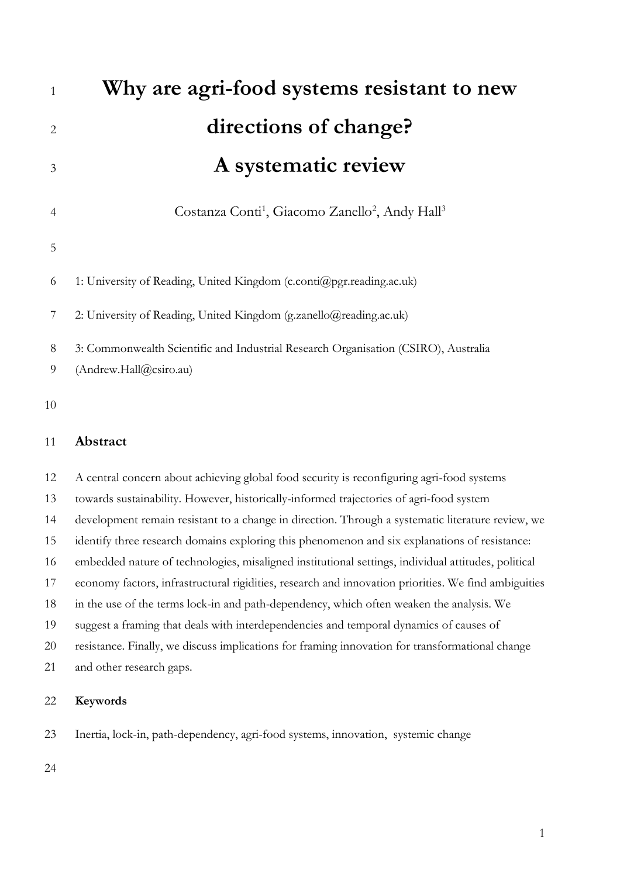| 1              | Why are agri-food systems resistant to new                                          |
|----------------|-------------------------------------------------------------------------------------|
| $\overline{2}$ | directions of change?                                                               |
| 3              | A systematic review                                                                 |
| 4              | Costanza Conti <sup>1</sup> , Giacomo Zanello <sup>2</sup> , Andy Hall <sup>3</sup> |
| 5              |                                                                                     |
| 6              | 1: University of Reading, United Kingdom (c.conti@pgr.reading.ac.uk)                |
| 7              | 2. University of Reading, United Kingdom (g.zanello@reading.ac.uk)                  |
| 8              | 3: Commonwealth Scientific and Industrial Research Organisation (CSIRO), Australia  |
| 9              | (Andrew.Hall@csiro.au)                                                              |
| 10             |                                                                                     |

#### **Abstract**

 A central concern about achieving global food security is reconfiguring agri-food systems towards sustainability. However, historically-informed trajectories of agri-food system development remain resistant to a change in direction. Through a systematic literature review, we identify three research domains exploring this phenomenon and six explanations of resistance: embedded nature of technologies, misaligned institutional settings, individual attitudes, political economy factors, infrastructural rigidities, research and innovation priorities. We find ambiguities in the use of the terms lock-in and path-dependency, which often weaken the analysis. We suggest a framing that deals with interdependencies and temporal dynamics of causes of resistance. Finally, we discuss implications for framing innovation for transformational change and other research gaps.

#### **Keywords**

Inertia, lock-in, path-dependency, agri-food systems, innovation, systemic change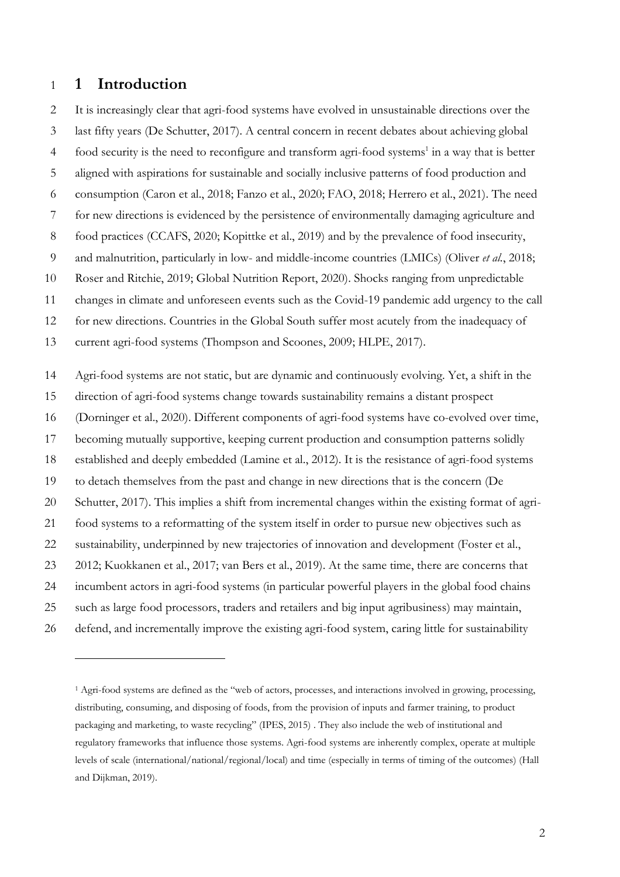### **1 Introduction**

 It is increasingly clear that agri-food systems have evolved in unsustainable directions over the last fifty years (De Schutter, 2017). A central concern in recent debates about achieving global 4 food security is the need to reconfigure and transform agri-food systems<sup>1</sup> in a way that is better aligned with aspirations for sustainable and socially inclusive patterns of food production and consumption (Caron et al., 2018; Fanzo et al., 2020; FAO, 2018; Herrero et al., 2021). The need for new directions is evidenced by the persistence of environmentally damaging agriculture and 8 food practices (CCAFS, 2020; Kopittke et al., 2019) and by the prevalence of food insecurity, and malnutrition, particularly in low- and middle-income countries (LMICs) (Oliver *et al.*, 2018; Roser and Ritchie, 2019; Global Nutrition Report, 2020). Shocks ranging from unpredictable changes in climate and unforeseen events such as the Covid-19 pandemic add urgency to the call for new directions. Countries in the Global South suffer most acutely from the inadequacy of current agri-food systems (Thompson and Scoones, 2009; HLPE, 2017). Agri-food systems are not static, but are dynamic and continuously evolving. Yet, a shift in the direction of agri-food systems change towards sustainability remains a distant prospect (Dorninger et al., 2020). Different components of agri-food systems have co-evolved over time, becoming mutually supportive, keeping current production and consumption patterns solidly established and deeply embedded (Lamine et al., 2012). It is the resistance of agri-food systems to detach themselves from the past and change in new directions that is the concern (De Schutter, 2017). This implies a shift from incremental changes within the existing format of agri- food systems to a reformatting of the system itself in order to pursue new objectives such as sustainability, underpinned by new trajectories of innovation and development (Foster et al., 2012; Kuokkanen et al., 2017; van Bers et al., 2019). At the same time, there are concerns that incumbent actors in agri-food systems (in particular powerful players in the global food chains such as large food processors, traders and retailers and big input agribusiness) may maintain, defend, and incrementally improve the existing agri-food system, caring little for sustainability

 Agri-food systems are defined as the "web of actors, processes, and interactions involved in growing, processing, distributing, consuming, and disposing of foods, from the provision of inputs and farmer training, to product packaging and marketing, to waste recycling" (IPES, 2015) . They also include the web of institutional and regulatory frameworks that influence those systems. Agri-food systems are inherently complex, operate at multiple levels of scale (international/national/regional/local) and time (especially in terms of timing of the outcomes) (Hall and Dijkman, 2019).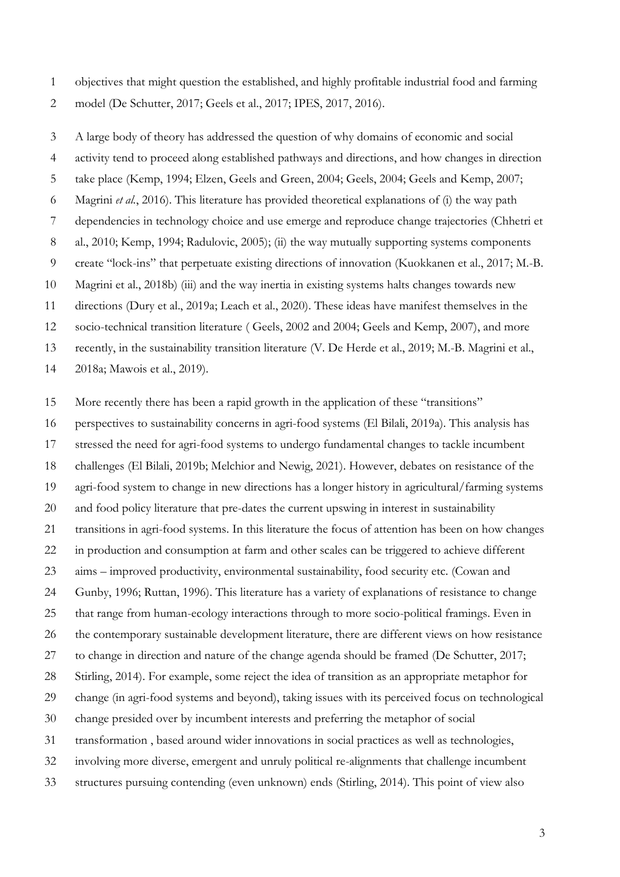objectives that might question the established, and highly profitable industrial food and farming model (De Schutter, 2017; Geels et al., 2017; IPES, 2017, 2016).

 A large body of theory has addressed the question of why domains of economic and social activity tend to proceed along established pathways and directions, and how changes in direction take place (Kemp, 1994; Elzen, Geels and Green, 2004; Geels, 2004; Geels and Kemp, 2007; Magrini *et al.*, 2016). This literature has provided theoretical explanations of (i) the way path dependencies in technology choice and use emerge and reproduce change trajectories (Chhetri et 8 al., 2010; Kemp, 1994; Radulovic, 2005); (ii) the way mutually supporting systems components create "lock-ins" that perpetuate existing directions of innovation (Kuokkanen et al., 2017; M.-B. Magrini et al., 2018b) (iii) and the way inertia in existing systems halts changes towards new directions (Dury et al., 2019a; Leach et al., 2020). These ideas have manifest themselves in the socio-technical transition literature ( Geels, 2002 and 2004; Geels and Kemp, 2007), and more recently, in the sustainability transition literature (V. De Herde et al., 2019; M.-B. Magrini et al., 2018a; Mawois et al., 2019).

More recently there has been a rapid growth in the application of these "transitions"

 perspectives to sustainability concerns in agri-food systems (El Bilali, 2019a). This analysis has stressed the need for agri-food systems to undergo fundamental changes to tackle incumbent challenges (El Bilali, 2019b; Melchior and Newig, 2021). However, debates on resistance of the agri-food system to change in new directions has a longer history in agricultural/farming systems and food policy literature that pre-dates the current upswing in interest in sustainability transitions in agri-food systems. In this literature the focus of attention has been on how changes in production and consumption at farm and other scales can be triggered to achieve different aims – improved productivity, environmental sustainability, food security etc. (Cowan and Gunby, 1996; Ruttan, 1996). This literature has a variety of explanations of resistance to change that range from human-ecology interactions through to more socio-political framings. Even in the contemporary sustainable development literature, there are different views on how resistance to change in direction and nature of the change agenda should be framed (De Schutter, 2017; Stirling, 2014). For example, some reject the idea of transition as an appropriate metaphor for change (in agri-food systems and beyond), taking issues with its perceived focus on technological change presided over by incumbent interests and preferring the metaphor of social transformation , based around wider innovations in social practices as well as technologies, involving more diverse, emergent and unruly political re-alignments that challenge incumbent structures pursuing contending (even unknown) ends (Stirling, 2014). This point of view also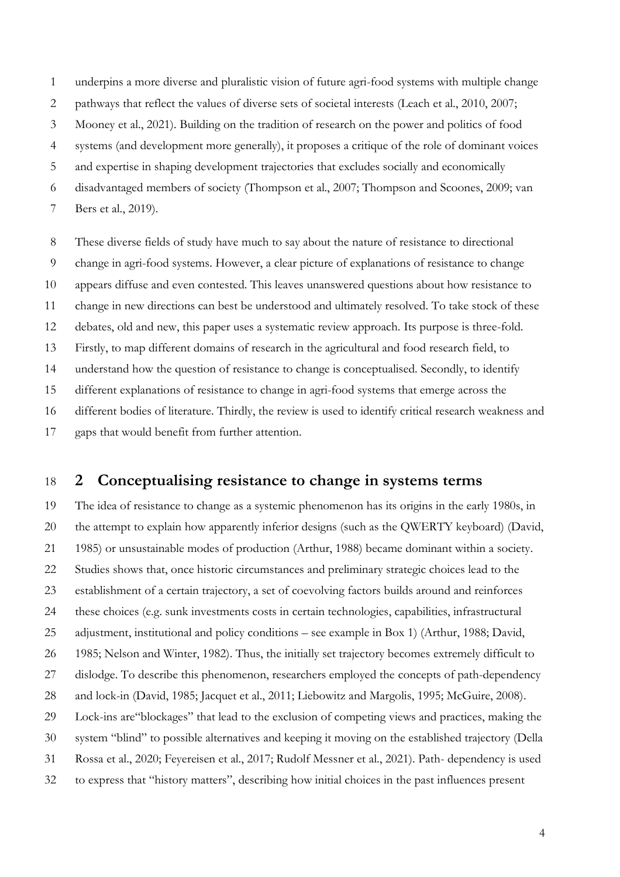underpins a more diverse and pluralistic vision of future agri-food systems with multiple change

- pathways that reflect the values of diverse sets of societal interests (Leach et al., 2010, 2007;
- Mooney et al., 2021). Building on the tradition of research on the power and politics of food
- systems (and development more generally), it proposes a critique of the role of dominant voices
- and expertise in shaping development trajectories that excludes socially and economically
- disadvantaged members of society (Thompson et al., 2007; Thompson and Scoones, 2009; van
- Bers et al., 2019).

 These diverse fields of study have much to say about the nature of resistance to directional change in agri-food systems. However, a clear picture of explanations of resistance to change appears diffuse and even contested. This leaves unanswered questions about how resistance to change in new directions can best be understood and ultimately resolved. To take stock of these debates, old and new, this paper uses a systematic review approach. Its purpose is three-fold. Firstly, to map different domains of research in the agricultural and food research field, to understand how the question of resistance to change is conceptualised. Secondly, to identify different explanations of resistance to change in agri-food systems that emerge across the different bodies of literature. Thirdly, the review is used to identify critical research weakness and gaps that would benefit from further attention.

## **2 Conceptualising resistance to change in systems terms**

 The idea of resistance to change as a systemic phenomenon has its origins in the early 1980s, in the attempt to explain how apparently inferior designs (such as the QWERTY keyboard) (David, 1985) or unsustainable modes of production (Arthur, 1988) became dominant within a society. Studies shows that, once historic circumstances and preliminary strategic choices lead to the establishment of a certain trajectory, a set of coevolving factors builds around and reinforces these choices (e.g. sunk investments costs in certain technologies, capabilities, infrastructural adjustment, institutional and policy conditions – see example in Box 1) (Arthur, 1988; David, 1985; Nelson and Winter, 1982). Thus, the initially set trajectory becomes extremely difficult to dislodge. To describe this phenomenon, researchers employed the concepts of path-dependency and lock-in (David, 1985; Jacquet et al., 2011; Liebowitz and Margolis, 1995; McGuire, 2008). Lock-ins are"blockages" that lead to the exclusion of competing views and practices, making the system "blind" to possible alternatives and keeping it moving on the established trajectory (Della Rossa et al., 2020; Feyereisen et al., 2017; Rudolf Messner et al., 2021). Path- dependency is used to express that "history matters", describing how initial choices in the past influences present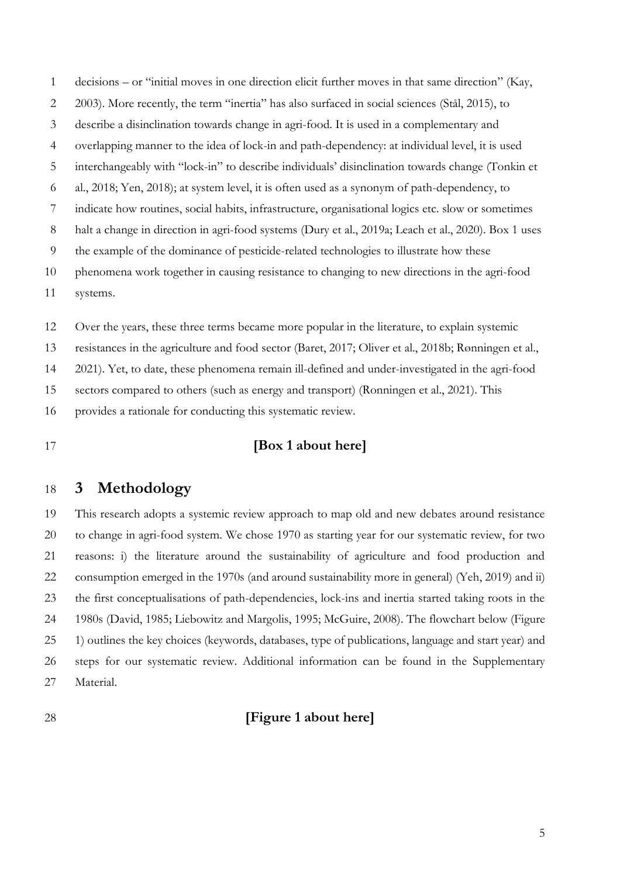decisions – or "initial moves in one direction elicit further moves in that same direction" (Kay, 2003). More recently, the term "inertia" has also surfaced in social sciences (Stål, 2015), to describe a disinclination towards change in agri-food. It is used in a complementary and overlapping manner to the idea of lock-in and path-dependency: at individual level, it is used interchangeably with "lock-in" to describe individuals' disinclination towards change (Tonkin et al., 2018; Yen, 2018); at system level, it is often used as a synonym of path-dependency, to indicate how routines, social habits, infrastructure, organisational logics etc. slow or sometimes halt a change in direction in agri-food systems (Dury et al., 2019a; Leach et al., 2020). Box 1 uses the example of the dominance of pesticide-related technologies to illustrate how these phenomena work together in causing resistance to changing to new directions in the agri-food systems.

 Over the years, these three terms became more popular in the literature, to explain systemic resistances in the agriculture and food sector (Baret, 2017; Oliver et al., 2018b; Rønningen et al., 2021). Yet, to date, these phenomena remain ill-defined and under-investigated in the agri-food sectors compared to others (such as energy and transport) (Ronningen et al., 2021). This provides a rationale for conducting this systematic review.

## **[Box 1 about here]**

## **3 Methodology**

 This research adopts a systemic review approach to map old and new debates around resistance to change in agri-food system. We chose 1970 as starting year for our systematic review, for two reasons: i) the literature around the sustainability of agriculture and food production and consumption emerged in the 1970s (and around sustainability more in general) (Yeh, 2019) and ii) the first conceptualisations of path-dependencies, lock-ins and inertia started taking roots in the 1980s (David, 1985; Liebowitz and Margolis, 1995; McGuire, 2008). The flowchart below (Figure 1) outlines the key choices (keywords, databases, type of publications, language and start year) and steps for our systematic review. Additional information can be found in the Supplementary Material.

## **[Figure 1 about here]**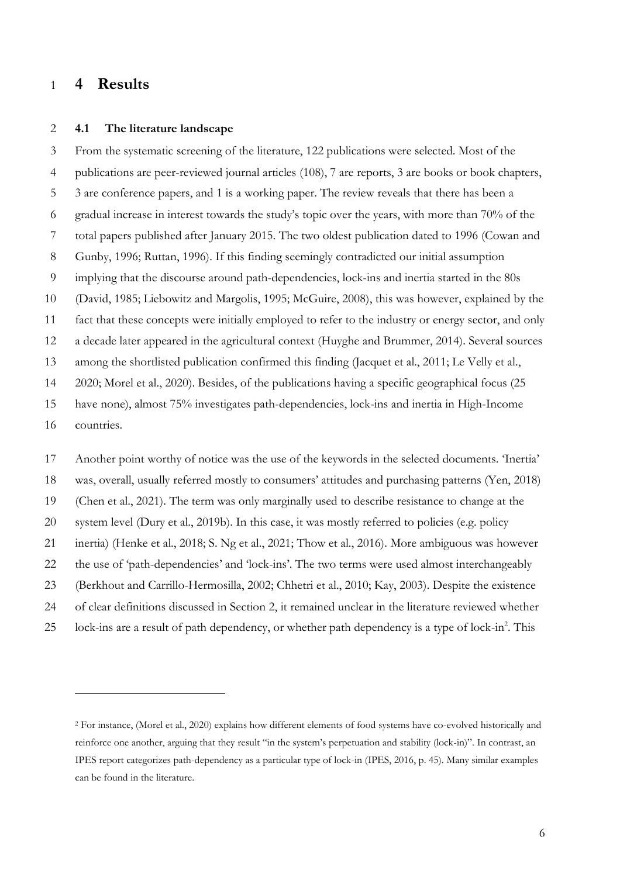### **4 Results**

#### **4.1 The literature landscape**

 From the systematic screening of the literature, 122 publications were selected. Most of the publications are peer-reviewed journal articles (108), 7 are reports, 3 are books or book chapters, 3 are conference papers, and 1 is a working paper. The review reveals that there has been a gradual increase in interest towards the study's topic over the years, with more than 70% of the total papers published after January 2015. The two oldest publication dated to 1996 (Cowan and Gunby, 1996; Ruttan, 1996). If this finding seemingly contradicted our initial assumption implying that the discourse around path-dependencies, lock-ins and inertia started in the 80s (David, 1985; Liebowitz and Margolis, 1995; McGuire, 2008), this was however, explained by the fact that these concepts were initially employed to refer to the industry or energy sector, and only a decade later appeared in the agricultural context (Huyghe and Brummer, 2014). Several sources among the shortlisted publication confirmed this finding (Jacquet et al., 2011; Le Velly et al., 2020; Morel et al., 2020). Besides, of the publications having a specific geographical focus (25 have none), almost 75% investigates path-dependencies, lock-ins and inertia in High-Income countries.

 Another point worthy of notice was the use of the keywords in the selected documents. 'Inertia' was, overall, usually referred mostly to consumers' attitudes and purchasing patterns (Yen, 2018) (Chen et al., 2021). The term was only marginally used to describe resistance to change at the system level (Dury et al., 2019b). In this case, it was mostly referred to policies (e.g. policy inertia) (Henke et al., 2018; S. Ng et al., 2021; Thow et al., 2016). More ambiguous was however the use of 'path-dependencies' and 'lock-ins'. The two terms were used almost interchangeably (Berkhout and Carrillo-Hermosilla, 2002; Chhetri et al., 2010; Kay, 2003). Despite the existence of clear definitions discussed in Section 2, it remained unclear in the literature reviewed whether 25 lock-ins are a result of path dependency, or whether path dependency is a type of lock-in<sup>2</sup>. This

 For instance, (Morel et al., 2020) explains how different elements of food systems have co-evolved historically and reinforce one another, arguing that they result "in the system's perpetuation and stability (lock-in)". In contrast, an IPES report categorizes path-dependency as a particular type of lock-in (IPES, 2016, p. 45). Many similar examples can be found in the literature.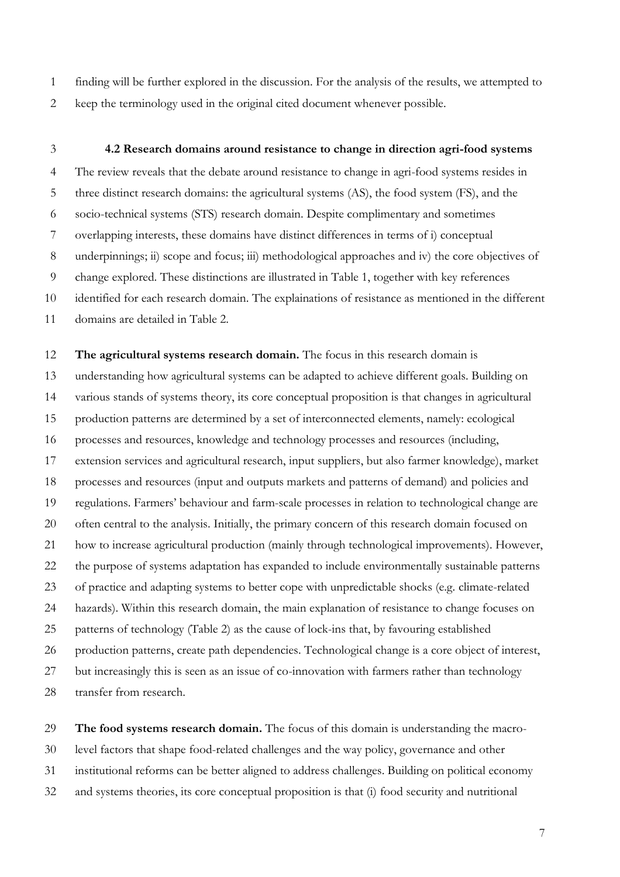finding will be further explored in the discussion. For the analysis of the results, we attempted to keep the terminology used in the original cited document whenever possible.

#### **4.2 Research domains around resistance to change in direction agri-food systems**

 The review reveals that the debate around resistance to change in agri-food systems resides in three distinct research domains: the agricultural systems (AS), the food system (FS), and the socio-technical systems (STS) research domain. Despite complimentary and sometimes overlapping interests, these domains have distinct differences in terms of i) conceptual underpinnings; ii) scope and focus; iii) methodological approaches and iv) the core objectives of change explored. These distinctions are illustrated in Table 1, together with key references identified for each research domain. The explainations of resistance as mentioned in the different domains are detailed in Table 2.

 **The agricultural systems research domain.** The focus in this research domain is understanding how agricultural systems can be adapted to achieve different goals. Building on various stands of systems theory, its core conceptual proposition is that changes in agricultural production patterns are determined by a set of interconnected elements, namely: ecological processes and resources, knowledge and technology processes and resources (including, extension services and agricultural research, input suppliers, but also farmer knowledge), market processes and resources (input and outputs markets and patterns of demand) and policies and regulations. Farmers' behaviour and farm-scale processes in relation to technological change are often central to the analysis. Initially, the primary concern of this research domain focused on how to increase agricultural production (mainly through technological improvements). However, the purpose of systems adaptation has expanded to include environmentally sustainable patterns of practice and adapting systems to better cope with unpredictable shocks (e.g. climate-related hazards). Within this research domain, the main explanation of resistance to change focuses on patterns of technology (Table 2) as the cause of lock-ins that, by favouring established production patterns, create path dependencies. Technological change is a core object of interest, but increasingly this is seen as an issue of co-innovation with farmers rather than technology transfer from research.

 **The food systems research domain.** The focus of this domain is understanding the macro- level factors that shape food-related challenges and the way policy, governance and other institutional reforms can be better aligned to address challenges. Building on political economy and systems theories, its core conceptual proposition is that (i) food security and nutritional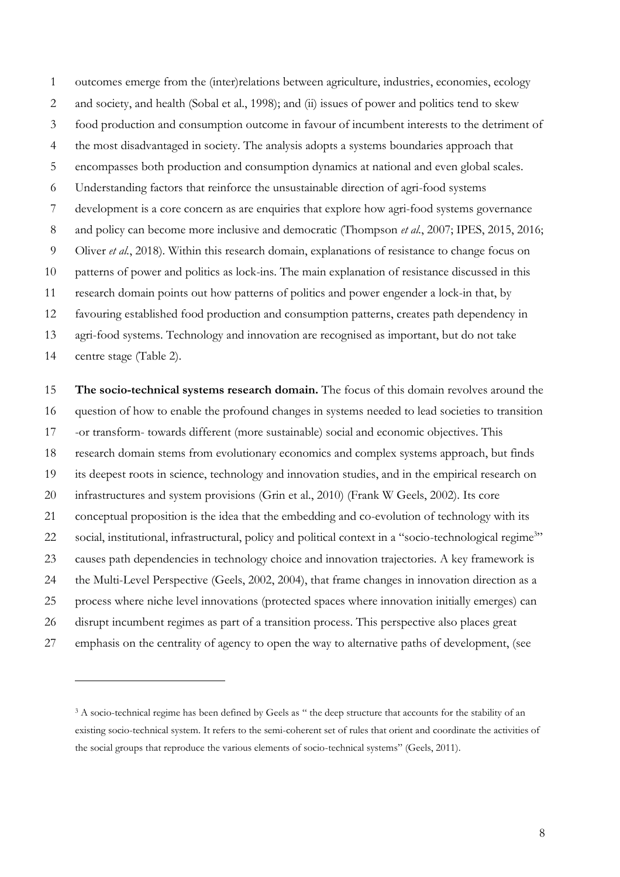outcomes emerge from the (inter)relations between agriculture, industries, economies, ecology and society, and health (Sobal et al., 1998); and (ii) issues of power and politics tend to skew food production and consumption outcome in favour of incumbent interests to the detriment of the most disadvantaged in society. The analysis adopts a systems boundaries approach that encompasses both production and consumption dynamics at national and even global scales. Understanding factors that reinforce the unsustainable direction of agri-food systems development is a core concern as are enquiries that explore how agri-food systems governance and policy can become more inclusive and democratic (Thompson *et al.*, 2007; IPES, 2015, 2016; Oliver *et al.*, 2018). Within this research domain, explanations of resistance to change focus on patterns of power and politics as lock-ins. The main explanation of resistance discussed in this research domain points out how patterns of politics and power engender a lock-in that, by favouring established food production and consumption patterns, creates path dependency in agri-food systems. Technology and innovation are recognised as important, but do not take centre stage (Table 2).

 **The socio-technical systems research domain.** The focus of this domain revolves around the question of how to enable the profound changes in systems needed to lead societies to transition -or transform- towards different (more sustainable) social and economic objectives. This research domain stems from evolutionary economics and complex systems approach, but finds its deepest roots in science, technology and innovation studies, and in the empirical research on 20 infrastructures and system provisions (Grin et al., 2010) (Frank W Geels, 2002). Its core conceptual proposition is the idea that the embedding and co-evolution of technology with its 22 social, institutional, infrastructural, policy and political context in a "socio-technological regime<sup>3</sup>" causes path dependencies in technology choice and innovation trajectories. A key framework is the Multi-Level Perspective (Geels, 2002, 2004), that frame changes in innovation direction as a process where niche level innovations (protected spaces where innovation initially emerges) can disrupt incumbent regimes as part of a transition process. This perspective also places great emphasis on the centrality of agency to open the way to alternative paths of development, (see

<sup>&</sup>lt;sup>3</sup> A socio-technical regime has been defined by Geels as " the deep structure that accounts for the stability of an existing socio-technical system. It refers to the semi-coherent set of rules that orient and coordinate the activities of the social groups that reproduce the various elements of socio-technical systems" (Geels, 2011).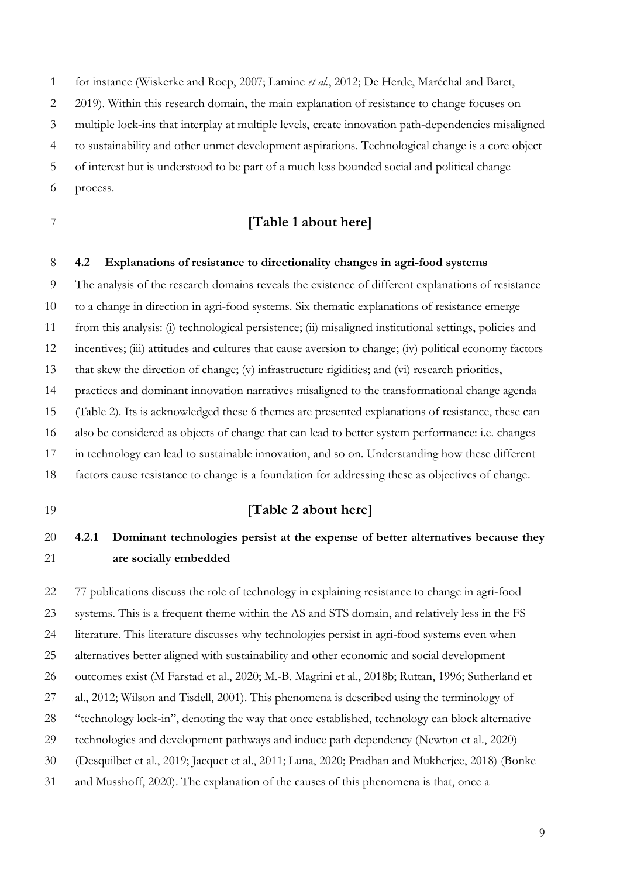for instance (Wiskerke and Roep, 2007; Lamine *et al.*, 2012; De Herde, Maréchal and Baret, 2 2019). Within this research domain, the main explanation of resistance to change focuses on multiple lock-ins that interplay at multiple levels, create innovation path-dependencies misaligned

to sustainability and other unmet development aspirations. Technological change is a core object

of interest but is understood to be part of a much less bounded social and political change

process.

### **[Table 1 about here]**

#### **4.2 Explanations of resistance to directionality changes in agri-food systems**

The analysis of the research domains reveals the existence of different explanations of resistance

to a change in direction in agri-food systems. Six thematic explanations of resistance emerge

from this analysis: (i) technological persistence; (ii) misaligned institutional settings, policies and

incentives; (iii) attitudes and cultures that cause aversion to change; (iv) political economy factors

that skew the direction of change; (v) infrastructure rigidities; and (vi) research priorities,

practices and dominant innovation narratives misaligned to the transformational change agenda

(Table 2). Its is acknowledged these 6 themes are presented explanations of resistance, these can

also be considered as objects of change that can lead to better system performance: i.e. changes

in technology can lead to sustainable innovation, and so on. Understanding how these different

factors cause resistance to change is a foundation for addressing these as objectives of change.

#### **[Table 2 about here]**

## **4.2.1 Dominant technologies persist at the expense of better alternatives because they are socially embedded**

 77 publications discuss the role of technology in explaining resistance to change in agri-food systems. This is a frequent theme within the AS and STS domain, and relatively less in the FS literature. This literature discusses why technologies persist in agri-food systems even when alternatives better aligned with sustainability and other economic and social development outcomes exist (M Farstad et al., 2020; M.-B. Magrini et al., 2018b; Ruttan, 1996; Sutherland et al., 2012; Wilson and Tisdell, 2001). This phenomena is described using the terminology of "technology lock-in", denoting the way that once established, technology can block alternative technologies and development pathways and induce path dependency (Newton et al., 2020) (Desquilbet et al., 2019; Jacquet et al., 2011; Luna, 2020; Pradhan and Mukherjee, 2018) (Bonke and Musshoff, 2020). The explanation of the causes of this phenomena is that, once a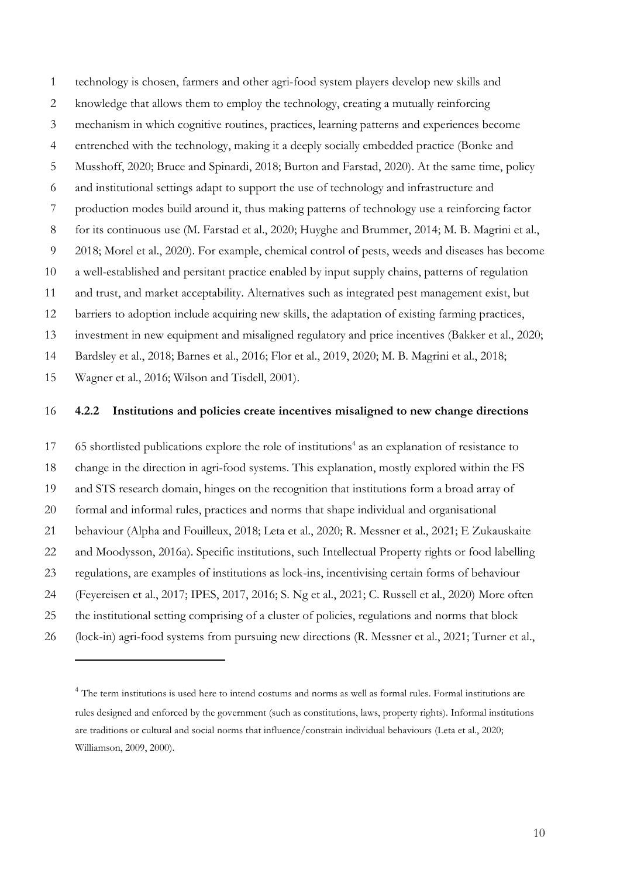technology is chosen, farmers and other agri-food system players develop new skills and knowledge that allows them to employ the technology, creating a mutually reinforcing mechanism in which cognitive routines, practices, learning patterns and experiences become entrenched with the technology, making it a deeply socially embedded practice (Bonke and Musshoff, 2020; Bruce and Spinardi, 2018; Burton and Farstad, 2020). At the same time, policy and institutional settings adapt to support the use of technology and infrastructure and production modes build around it, thus making patterns of technology use a reinforcing factor for its continuous use (M. Farstad et al., 2020; Huyghe and Brummer, 2014; M. B. Magrini et al., 2018; Morel et al., 2020). For example, chemical control of pests, weeds and diseases has become a well-established and persitant practice enabled by input supply chains, patterns of regulation and trust, and market acceptability. Alternatives such as integrated pest management exist, but barriers to adoption include acquiring new skills, the adaptation of existing farming practices, investment in new equipment and misaligned regulatory and price incentives (Bakker et al., 2020; Bardsley et al., 2018; Barnes et al., 2016; Flor et al., 2019, 2020; M. B. Magrini et al., 2018;

Wagner et al., 2016; Wilson and Tisdell, 2001).

#### **4.2.2 Institutions and policies create incentives misaligned to new change directions**

17 65 shortlisted publications explore the role of institutions<sup>4</sup> as an explanation of resistance to change in the direction in agri-food systems. This explanation, mostly explored within the FS and STS research domain, hinges on the recognition that institutions form a broad array of formal and informal rules, practices and norms that shape individual and organisational behaviour (Alpha and Fouilleux, 2018; Leta et al., 2020; R. Messner et al., 2021; E Zukauskaite and Moodysson, 2016a). Specific institutions, such Intellectual Property rights or food labelling regulations, are examples of institutions as lock-ins, incentivising certain forms of behaviour (Feyereisen et al., 2017; IPES, 2017, 2016; S. Ng et al., 2021; C. Russell et al., 2020) More often the institutional setting comprising of a cluster of policies, regulations and norms that block (lock-in) agri-food systems from pursuing new directions (R. Messner et al., 2021; Turner et al.,

<sup>&</sup>lt;sup>4</sup> The term institutions is used here to intend costums and norms as well as formal rules. Formal institutions are rules designed and enforced by the government (such as constitutions, laws, property rights). Informal institutions are traditions or cultural and social norms that influence/constrain individual behaviours (Leta et al., 2020; Williamson, 2009, 2000).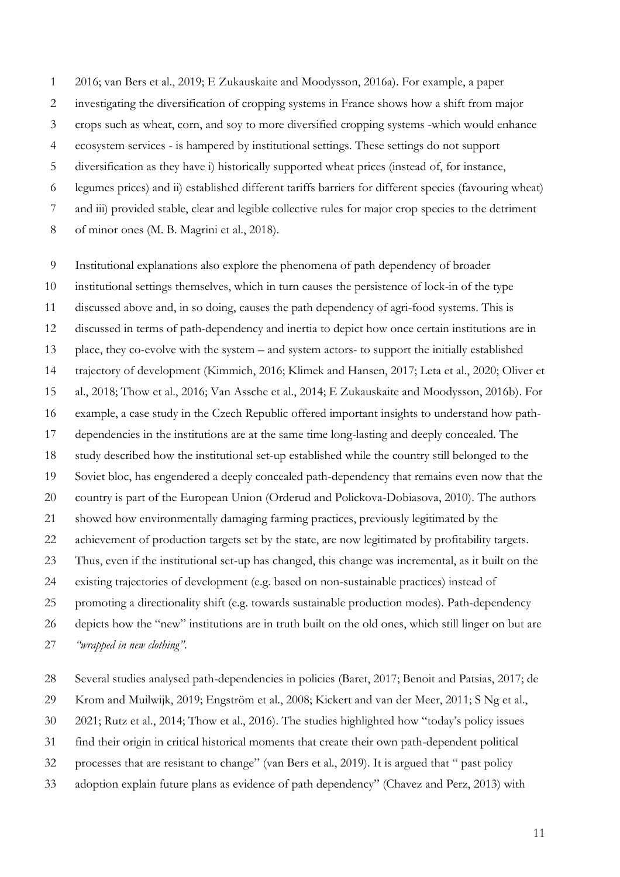2016; van Bers et al., 2019; E Zukauskaite and Moodysson, 2016a). For example, a paper investigating the diversification of cropping systems in France shows how a shift from major crops such as wheat, corn, and soy to more diversified cropping systems -which would enhance ecosystem services - is hampered by institutional settings. These settings do not support diversification as they have i) historically supported wheat prices (instead of, for instance, legumes prices) and ii) established different tariffs barriers for different species (favouring wheat) and iii) provided stable, clear and legible collective rules for major crop species to the detriment of minor ones (M. B. Magrini et al., 2018).

 Institutional explanations also explore the phenomena of path dependency of broader institutional settings themselves, which in turn causes the persistence of lock-in of the type discussed above and, in so doing, causes the path dependency of agri-food systems. This is discussed in terms of path-dependency and inertia to depict how once certain institutions are in place, they co-evolve with the system – and system actors- to support the initially established trajectory of development (Kimmich, 2016; Klimek and Hansen, 2017; Leta et al., 2020; Oliver et al., 2018; Thow et al., 2016; Van Assche et al., 2014; E Zukauskaite and Moodysson, 2016b). For example, a case study in the Czech Republic offered important insights to understand how path- dependencies in the institutions are at the same time long-lasting and deeply concealed. The study described how the institutional set-up established while the country still belonged to the Soviet bloc, has engendered a deeply concealed path-dependency that remains even now that the country is part of the European Union (Orderud and Polickova-Dobiasova, 2010). The authors showed how environmentally damaging farming practices, previously legitimated by the achievement of production targets set by the state, are now legitimated by profitability targets. Thus, even if the institutional set-up has changed, this change was incremental, as it built on the existing trajectories of development (e.g. based on non-sustainable practices) instead of promoting a directionality shift (e.g. towards sustainable production modes). Path-dependency depicts how the "new" institutions are in truth built on the old ones, which still linger on but are *"wrapped in new clothing"*.

- 
- Several studies analysed path-dependencies in policies (Baret, 2017; Benoit and Patsias, 2017; de
- Krom and Muilwijk, 2019; Engström et al., 2008; Kickert and van der Meer, 2011; S Ng et al.,
- 2021; Rutz et al., 2014; Thow et al., 2016). The studies highlighted how "today's policy issues
- find their origin in critical historical moments that create their own path-dependent political
- processes that are resistant to change" (van Bers et al., 2019). It is argued that " past policy
- adoption explain future plans as evidence of path dependency" (Chavez and Perz, 2013) with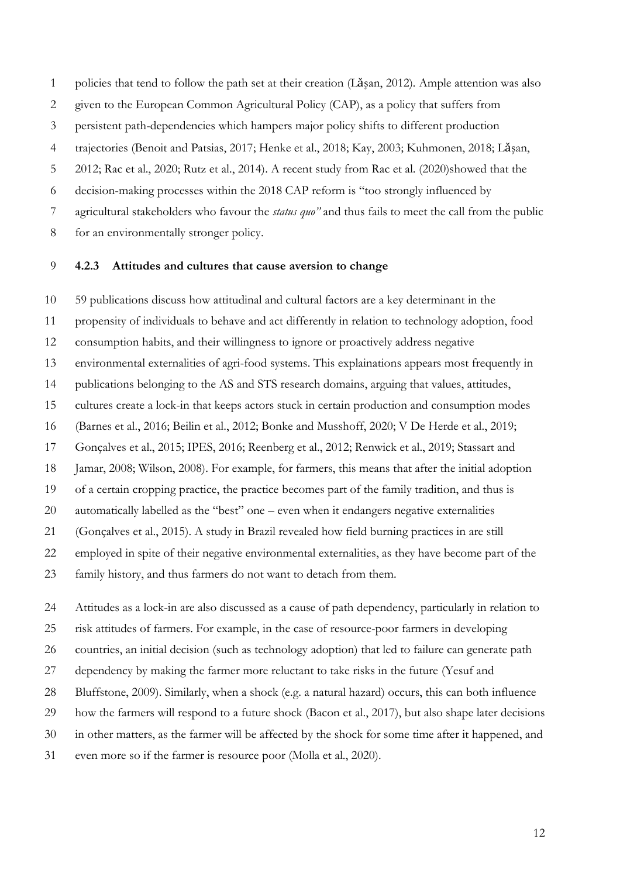policies that tend to follow the path set at their creation (Lǎşan, 2012)*.* Ample attention was also

- given to the European Common Agricultural Policy (CAP), as a policy that suffers from
- persistent path-dependencies which hampers major policy shifts to different production

trajectories (Benoit and Patsias, 2017; Henke et al., 2018; Kay, 2003; Kuhmonen, 2018; Lǎşan,

2012; Rac et al., 2020; Rutz et al., 2014). A recent study from Rac et al. (2020)showed that the

decision-making processes within the 2018 CAP reform is "too strongly influenced by

agricultural stakeholders who favour the *status quo"* and thus fails to meet the call from the public

for an environmentally stronger policy.

#### **4.2.3 Attitudes and cultures that cause aversion to change**

 59 publications discuss how attitudinal and cultural factors are a key determinant in the propensity of individuals to behave and act differently in relation to technology adoption, food consumption habits, and their willingness to ignore or proactively address negative environmental externalities of agri-food systems. This explainations appears most frequently in publications belonging to the AS and STS research domains, arguing that values, attitudes, cultures create a lock-in that keeps actors stuck in certain production and consumption modes (Barnes et al., 2016; Beilin et al., 2012; Bonke and Musshoff, 2020; V De Herde et al., 2019; Gonçalves et al., 2015; IPES, 2016; Reenberg et al., 2012; Renwick et al., 2019; Stassart and Jamar, 2008; Wilson, 2008). For example, for farmers, this means that after the initial adoption of a certain cropping practice, the practice becomes part of the family tradition, and thus is automatically labelled as the "best" one – even when it endangers negative externalities (Gonçalves et al., 2015). A study in Brazil revealed how field burning practices in are still employed in spite of their negative environmental externalities, as they have become part of the family history, and thus farmers do not want to detach from them.

 Attitudes as a lock-in are also discussed as a cause of path dependency, particularly in relation to risk attitudes of farmers. For example, in the case of resource-poor farmers in developing countries, an initial decision (such as technology adoption) that led to failure can generate path dependency by making the farmer more reluctant to take risks in the future (Yesuf and Bluffstone, 2009). Similarly, when a shock (e.g. a natural hazard) occurs, this can both influence how the farmers will respond to a future shock (Bacon et al., 2017), but also shape later decisions in other matters, as the farmer will be affected by the shock for some time after it happened, and even more so if the farmer is resource poor (Molla et al., 2020).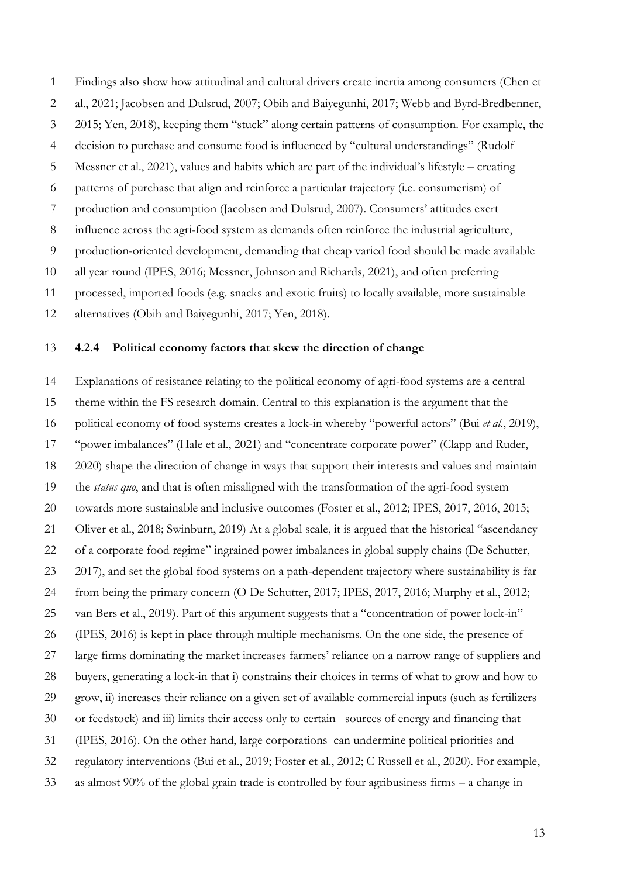Findings also show how attitudinal and cultural drivers create inertia among consumers (Chen et al., 2021; Jacobsen and Dulsrud, 2007; Obih and Baiyegunhi, 2017; Webb and Byrd-Bredbenner, 2015; Yen, 2018), keeping them "stuck" along certain patterns of consumption. For example, the decision to purchase and consume food is influenced by "cultural understandings" (Rudolf Messner et al., 2021), values and habits which are part of the individual's lifestyle – creating patterns of purchase that align and reinforce a particular trajectory (i.e. consumerism) of production and consumption (Jacobsen and Dulsrud, 2007). Consumers' attitudes exert influence across the agri-food system as demands often reinforce the industrial agriculture, production-oriented development, demanding that cheap varied food should be made available all year round (IPES, 2016; Messner, Johnson and Richards, 2021), and often preferring processed, imported foods (e.g. snacks and exotic fruits) to locally available, more sustainable alternatives (Obih and Baiyegunhi, 2017; Yen, 2018).

#### **4.2.4 Political economy factors that skew the direction of change**

 Explanations of resistance relating to the political economy of agri-food systems are a central theme within the FS research domain. Central to this explanation is the argument that the political economy of food systems creates a lock-in whereby "powerful actors" (Bui *et al.*, 2019), "power imbalances" (Hale et al., 2021) and "concentrate corporate power" (Clapp and Ruder, 2020) shape the direction of change in ways that support their interests and values and maintain the *status quo*, and that is often misaligned with the transformation of the agri-food system towards more sustainable and inclusive outcomes (Foster et al., 2012; IPES, 2017, 2016, 2015; Oliver et al., 2018; Swinburn, 2019) At a global scale, it is argued that the historical "ascendancy of a corporate food regime" ingrained power imbalances in global supply chains (De Schutter, 2017), and set the global food systems on a path-dependent trajectory where sustainability is far from being the primary concern (O De Schutter, 2017; IPES, 2017, 2016; Murphy et al., 2012; van Bers et al., 2019). Part of this argument suggests that a "concentration of power lock-in" (IPES, 2016) is kept in place through multiple mechanisms. On the one side, the presence of large firms dominating the market increases farmers' reliance on a narrow range of suppliers and buyers, generating a lock-in that i) constrains their choices in terms of what to grow and how to grow, ii) increases their reliance on a given set of available commercial inputs (such as fertilizers or feedstock) and iii) limits their access only to certain sources of energy and financing that (IPES, 2016). On the other hand, large corporations can undermine political priorities and regulatory interventions (Bui et al., 2019; Foster et al., 2012; C Russell et al., 2020). For example, as almost 90% of the global grain trade is controlled by four agribusiness firms – a change in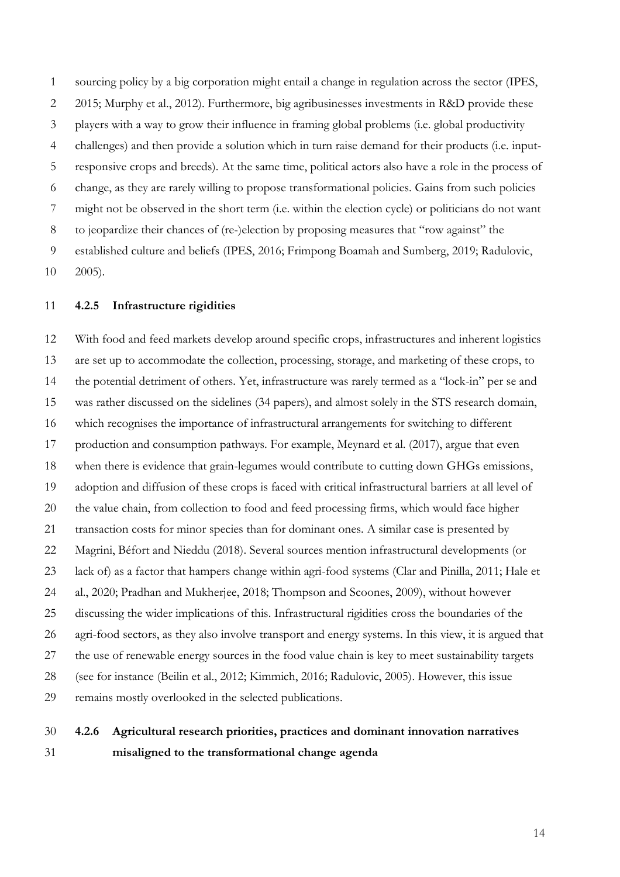sourcing policy by a big corporation might entail a change in regulation across the sector (IPES, 2015; Murphy et al., 2012). Furthermore, big agribusinesses investments in R&D provide these players with a way to grow their influence in framing global problems (i.e. global productivity challenges) and then provide a solution which in turn raise demand for their products (i.e. input- responsive crops and breeds). At the same time, political actors also have a role in the process of change, as they are rarely willing to propose transformational policies. Gains from such policies might not be observed in the short term (i.e. within the election cycle) or politicians do not want to jeopardize their chances of (re-)election by proposing measures that "row against" the established culture and beliefs (IPES, 2016; Frimpong Boamah and Sumberg, 2019; Radulovic, 2005).

#### **4.2.5 Infrastructure rigidities**

 With food and feed markets develop around specific crops, infrastructures and inherent logistics are set up to accommodate the collection, processing, storage, and marketing of these crops, to the potential detriment of others. Yet, infrastructure was rarely termed as a "lock-in" per se and was rather discussed on the sidelines (34 papers), and almost solely in the STS research domain, which recognises the importance of infrastructural arrangements for switching to different production and consumption pathways. For example, Meynard et al. (2017), argue that even when there is evidence that grain-legumes would contribute to cutting down GHGs emissions, adoption and diffusion of these crops is faced with critical infrastructural barriers at all level of the value chain, from collection to food and feed processing firms, which would face higher transaction costs for minor species than for dominant ones. A similar case is presented by Magrini, Béfort and Nieddu (2018). Several sources mention infrastructural developments (or lack of) as a factor that hampers change within agri-food systems (Clar and Pinilla, 2011; Hale et al., 2020; Pradhan and Mukherjee, 2018; Thompson and Scoones, 2009), without however discussing the wider implications of this. Infrastructural rigidities cross the boundaries of the agri-food sectors, as they also involve transport and energy systems. In this view, it is argued that the use of renewable energy sources in the food value chain is key to meet sustainability targets (see for instance (Beilin et al., 2012; Kimmich, 2016; Radulovic, 2005). However, this issue remains mostly overlooked in the selected publications.

## **4.2.6 Agricultural research priorities, practices and dominant innovation narratives misaligned to the transformational change agenda**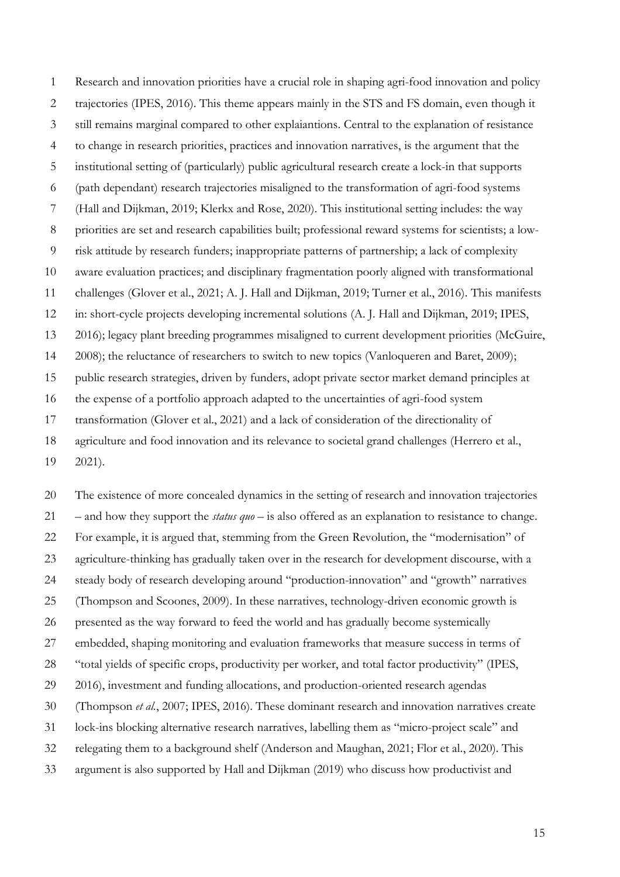Research and innovation priorities have a crucial role in shaping agri-food innovation and policy trajectories (IPES, 2016). This theme appears mainly in the STS and FS domain, even though it still remains marginal compared to other explaiantions. Central to the explanation of resistance to change in research priorities, practices and innovation narratives, is the argument that the institutional setting of (particularly) public agricultural research create a lock-in that supports (path dependant) research trajectories misaligned to the transformation of agri-food systems (Hall and Dijkman, 2019; Klerkx and Rose, 2020). This institutional setting includes: the way priorities are set and research capabilities built; professional reward systems for scientists; a low- risk attitude by research funders; inappropriate patterns of partnership; a lack of complexity aware evaluation practices; and disciplinary fragmentation poorly aligned with transformational challenges (Glover et al., 2021; A. J. Hall and Dijkman, 2019; Turner et al., 2016). This manifests in: short-cycle projects developing incremental solutions (A. J. Hall and Dijkman, 2019; IPES, 2016); legacy plant breeding programmes misaligned to current development priorities (McGuire, 2008); the reluctance of researchers to switch to new topics (Vanloqueren and Baret, 2009); public research strategies, driven by funders, adopt private sector market demand principles at the expense of a portfolio approach adapted to the uncertainties of agri-food system transformation (Glover et al., 2021) and a lack of consideration of the directionality of agriculture and food innovation and its relevance to societal grand challenges (Herrero et al.,

2021).

 The existence of more concealed dynamics in the setting of research and innovation trajectories – and how they support the *status quo* – is also offered as an explanation to resistance to change. For example, it is argued that, stemming from the Green Revolution, the "modernisation" of agriculture-thinking has gradually taken over in the research for development discourse, with a steady body of research developing around "production-innovation" and "growth" narratives (Thompson and Scoones, 2009). In these narratives, technology-driven economic growth is presented as the way forward to feed the world and has gradually become systemically embedded, shaping monitoring and evaluation frameworks that measure success in terms of "total yields of specific crops, productivity per worker, and total factor productivity" (IPES, 2016), investment and funding allocations, and production-oriented research agendas (Thompson *et al.*, 2007; IPES, 2016). These dominant research and innovation narratives create lock-ins blocking alternative research narratives, labelling them as "micro-project scale" and relegating them to a background shelf (Anderson and Maughan, 2021; Flor et al., 2020). This argument is also supported by Hall and Dijkman (2019) who discuss how productivist and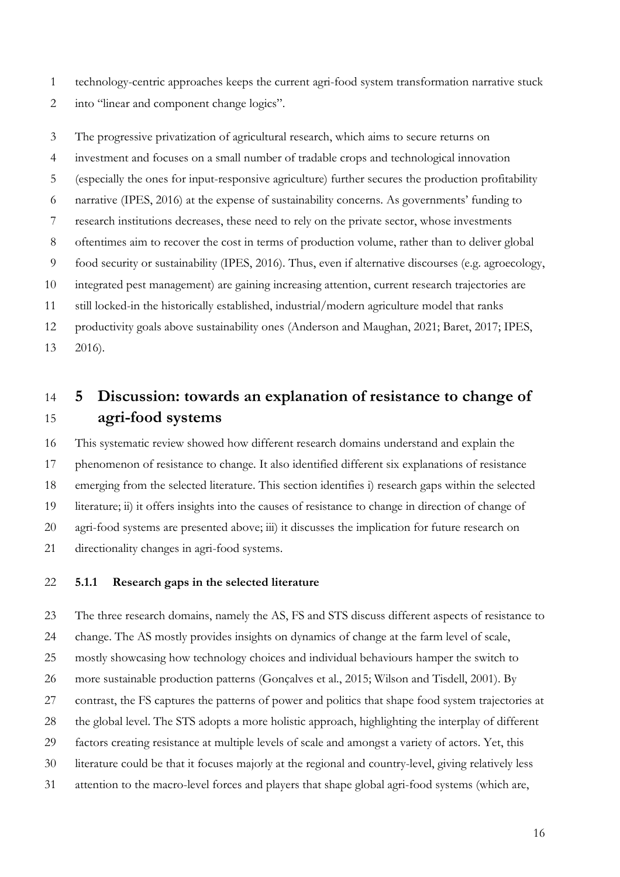- technology-centric approaches keeps the current agri-food system transformation narrative stuck
- into "linear and component change logics".

 The progressive privatization of agricultural research, which aims to secure returns on investment and focuses on a small number of tradable crops and technological innovation (especially the ones for input-responsive agriculture) further secures the production profitability narrative (IPES, 2016) at the expense of sustainability concerns. As governments' funding to research institutions decreases, these need to rely on the private sector, whose investments oftentimes aim to recover the cost in terms of production volume, rather than to deliver global food security or sustainability (IPES, 2016). Thus, even if alternative discourses (e.g. agroecology, integrated pest management) are gaining increasing attention, current research trajectories are still locked-in the historically established, industrial/modern agriculture model that ranks productivity goals above sustainability ones (Anderson and Maughan, 2021; Baret, 2017; IPES, 2016).

# **5 Discussion: towards an explanation of resistance to change of agri-food systems**

 This systematic review showed how different research domains understand and explain the phenomenon of resistance to change. It also identified different six explanations of resistance emerging from the selected literature. This section identifies i) research gaps within the selected literature; ii) it offers insights into the causes of resistance to change in direction of change of agri-food systems are presented above; iii) it discusses the implication for future research on directionality changes in agri-food systems.

#### **5.1.1 Research gaps in the selected literature**

 The three research domains, namely the AS, FS and STS discuss different aspects of resistance to change. The AS mostly provides insights on dynamics of change at the farm level of scale, mostly showcasing how technology choices and individual behaviours hamper the switch to 26 more sustainable production patterns (Gonçalves et al., 2015; Wilson and Tisdell, 2001). By contrast, the FS captures the patterns of power and politics that shape food system trajectories at the global level. The STS adopts a more holistic approach, highlighting the interplay of different factors creating resistance at multiple levels of scale and amongst a variety of actors. Yet, this literature could be that it focuses majorly at the regional and country-level, giving relatively less attention to the macro-level forces and players that shape global agri-food systems (which are,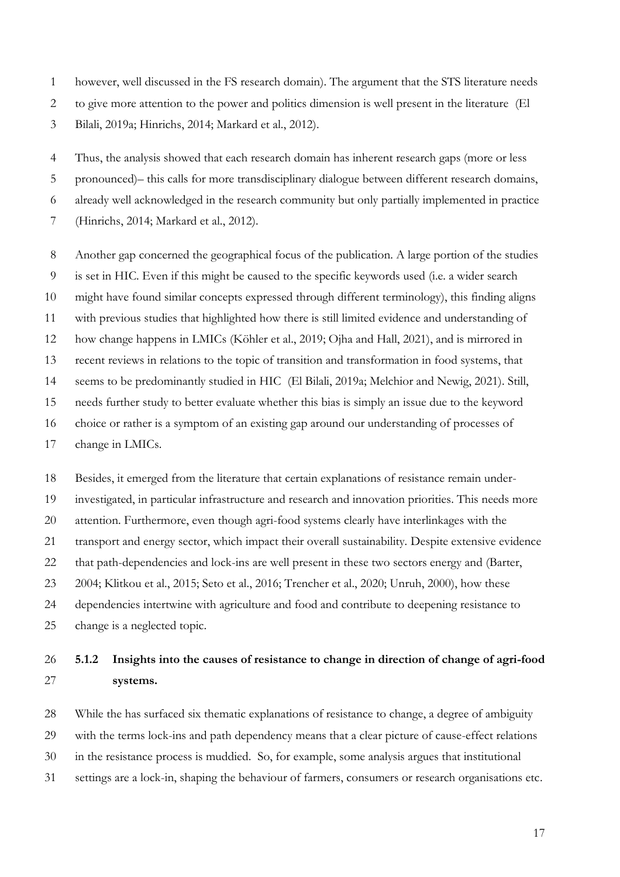however, well discussed in the FS research domain). The argument that the STS literature needs

to give more attention to the power and politics dimension is well present in the literature (El

Bilali, 2019a; Hinrichs, 2014; Markard et al., 2012).

 Thus, the analysis showed that each research domain has inherent research gaps (more or less pronounced)– this calls for more transdisciplinary dialogue between different research domains, already well acknowledged in the research community but only partially implemented in practice

(Hinrichs, 2014; Markard et al., 2012).

Another gap concerned the geographical focus of the publication. A large portion of the studies

is set in HIC. Even if this might be caused to the specific keywords used (i.e. a wider search

might have found similar concepts expressed through different terminology), this finding aligns

with previous studies that highlighted how there is still limited evidence and understanding of

how change happens in LMICs (Köhler et al., 2019; Ojha and Hall, 2021), and is mirrored in

recent reviews in relations to the topic of transition and transformation in food systems, that

seems to be predominantly studied in HIC (El Bilali, 2019a; Melchior and Newig, 2021). Still,

needs further study to better evaluate whether this bias is simply an issue due to the keyword

choice or rather is a symptom of an existing gap around our understanding of processes of

change in LMICs.

 Besides, it emerged from the literature that certain explanations of resistance remain under- investigated, in particular infrastructure and research and innovation priorities. This needs more attention. Furthermore, even though agri-food systems clearly have interlinkages with the transport and energy sector, which impact their overall sustainability. Despite extensive evidence that path-dependencies and lock-ins are well present in these two sectors energy and (Barter, 2004; Klitkou et al., 2015; Seto et al., 2016; Trencher et al., 2020; Unruh, 2000), how these dependencies intertwine with agriculture and food and contribute to deepening resistance to change is a neglected topic.

## **5.1.2 Insights into the causes of resistance to change in direction of change of agri-food systems.**

 While the has surfaced six thematic explanations of resistance to change, a degree of ambiguity with the terms lock-ins and path dependency means that a clear picture of cause-effect relations in the resistance process is muddied. So, for example, some analysis argues that institutional settings are a lock-in, shaping the behaviour of farmers, consumers or research organisations etc.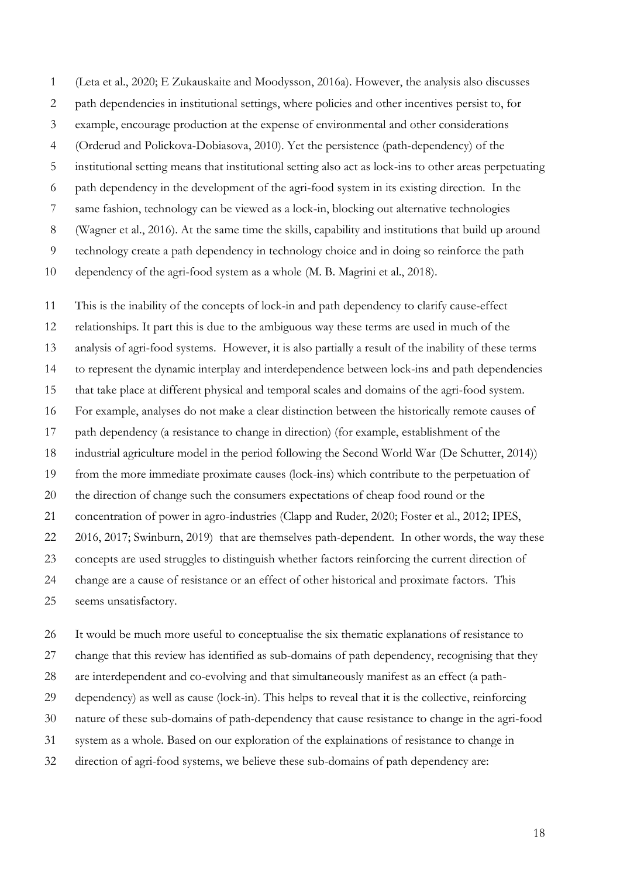(Leta et al., 2020; E Zukauskaite and Moodysson, 2016a). However, the analysis also discusses path dependencies in institutional settings, where policies and other incentives persist to, for example, encourage production at the expense of environmental and other considerations (Orderud and Polickova-Dobiasova, 2010). Yet the persistence (path-dependency) of the institutional setting means that institutional setting also act as lock-ins to other areas perpetuating path dependency in the development of the agri-food system in its existing direction. In the same fashion, technology can be viewed as a lock-in, blocking out alternative technologies (Wagner et al., 2016). At the same time the skills, capability and institutions that build up around technology create a path dependency in technology choice and in doing so reinforce the path dependency of the agri-food system as a whole (M. B. Magrini et al., 2018).

 This is the inability of the concepts of lock-in and path dependency to clarify cause-effect relationships. It part this is due to the ambiguous way these terms are used in much of the analysis of agri-food systems. However, it is also partially a result of the inability of these terms to represent the dynamic interplay and interdependence between lock-ins and path dependencies that take place at different physical and temporal scales and domains of the agri-food system. For example, analyses do not make a clear distinction between the historically remote causes of path dependency (a resistance to change in direction) (for example, establishment of the industrial agriculture model in the period following the Second World War (De Schutter, 2014)) from the more immediate proximate causes (lock-ins) which contribute to the perpetuation of the direction of change such the consumers expectations of cheap food round or the concentration of power in agro-industries (Clapp and Ruder, 2020; Foster et al., 2012; IPES, 2016, 2017; Swinburn, 2019) that are themselves path-dependent. In other words, the way these concepts are used struggles to distinguish whether factors reinforcing the current direction of change are a cause of resistance or an effect of other historical and proximate factors. This

seems unsatisfactory.

 It would be much more useful to conceptualise the six thematic explanations of resistance to change that this review has identified as sub-domains of path dependency, recognising that they are interdependent and co-evolving and that simultaneously manifest as an effect (a path- dependency) as well as cause (lock-in). This helps to reveal that it is the collective, reinforcing nature of these sub-domains of path-dependency that cause resistance to change in the agri-food system as a whole. Based on our exploration of the explainations of resistance to change in direction of agri-food systems, we believe these sub-domains of path dependency are: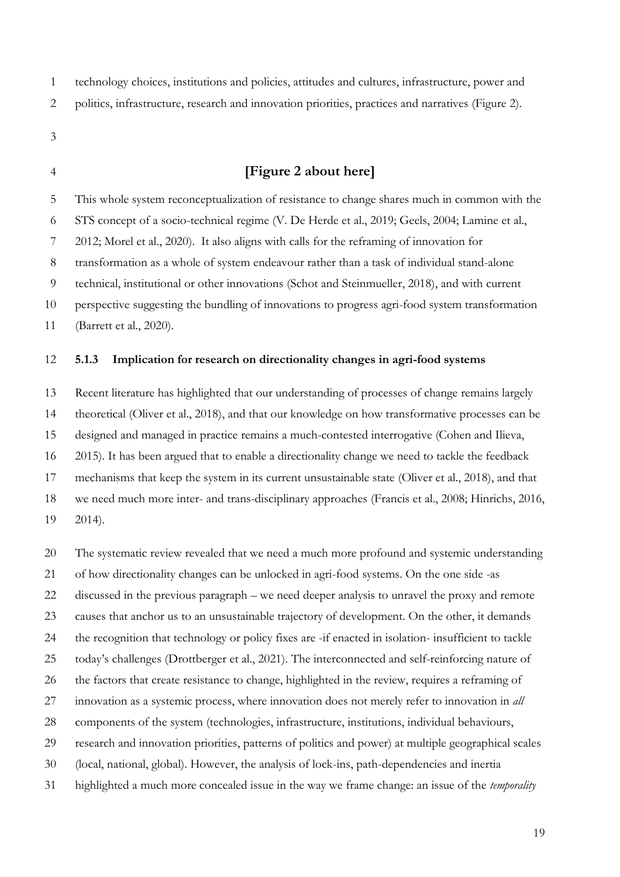technology choices, institutions and policies, attitudes and cultures, infrastructure, power and

- politics, infrastructure, research and innovation priorities, practices and narratives (Figure 2).
- 
- 

## **[Figure 2 about here]**

 This whole system reconceptualization of resistance to change shares much in common with the STS concept of a socio-technical regime (V. De Herde et al., 2019; Geels, 2004; Lamine et al., 2012; Morel et al., 2020). It also aligns with calls for the reframing of innovation for

transformation as a whole of system endeavour rather than a task of individual stand-alone

technical, institutional or other innovations (Schot and Steinmueller, 2018), and with current

perspective suggesting the bundling of innovations to progress agri-food system transformation

(Barrett et al., 2020).

#### **5.1.3 Implication for research on directionality changes in agri-food systems**

 Recent literature has highlighted that our understanding of processes of change remains largely theoretical (Oliver et al., 2018), and that our knowledge on how transformative processes can be designed and managed in practice remains a much-contested interrogative (Cohen and Ilieva, 2015). It has been argued that to enable a directionality change we need to tackle the feedback mechanisms that keep the system in its current unsustainable state (Oliver et al., 2018), and that we need much more inter- and trans-disciplinary approaches (Francis et al., 2008; Hinrichs, 2016, 2014).

 The systematic review revealed that we need a much more profound and systemic understanding of how directionality changes can be unlocked in agri-food systems. On the one side -as discussed in the previous paragraph – we need deeper analysis to unravel the proxy and remote causes that anchor us to an unsustainable trajectory of development. On the other, it demands the recognition that technology or policy fixes are -if enacted in isolation- insufficient to tackle today's challenges (Drottberger et al., 2021). The interconnected and self-reinforcing nature of the factors that create resistance to change, highlighted in the review, requires a reframing of innovation as a systemic process, where innovation does not merely refer to innovation in *all* components of the system (technologies, infrastructure, institutions, individual behaviours, research and innovation priorities, patterns of politics and power) at multiple geographical scales (local, national, global). However, the analysis of lock-ins, path-dependencies and inertia highlighted a much more concealed issue in the way we frame change: an issue of the *temporality*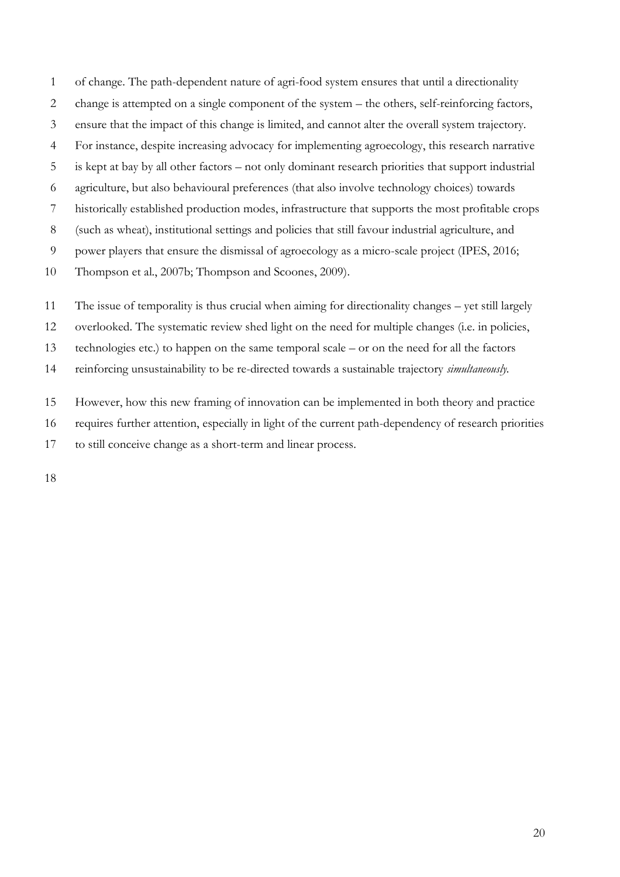of change. The path-dependent nature of agri-food system ensures that until a directionality change is attempted on a single component of the system – the others, self-reinforcing factors, ensure that the impact of this change is limited, and cannot alter the overall system trajectory. For instance, despite increasing advocacy for implementing agroecology, this research narrative is kept at bay by all other factors – not only dominant research priorities that support industrial agriculture, but also behavioural preferences (that also involve technology choices) towards historically established production modes, infrastructure that supports the most profitable crops (such as wheat), institutional settings and policies that still favour industrial agriculture, and power players that ensure the dismissal of agroecology as a micro-scale project (IPES, 2016; Thompson et al., 2007b; Thompson and Scoones, 2009).

The issue of temporality is thus crucial when aiming for directionality changes – yet still largely

overlooked. The systematic review shed light on the need for multiple changes (i.e. in policies,

technologies etc.) to happen on the same temporal scale – or on the need for all the factors

reinforcing unsustainability to be re-directed towards a sustainable trajectory *simultaneously.*

However, how this new framing of innovation can be implemented in both theory and practice

requires further attention, especially in light of the current path-dependency of research priorities

to still conceive change as a short-term and linear process.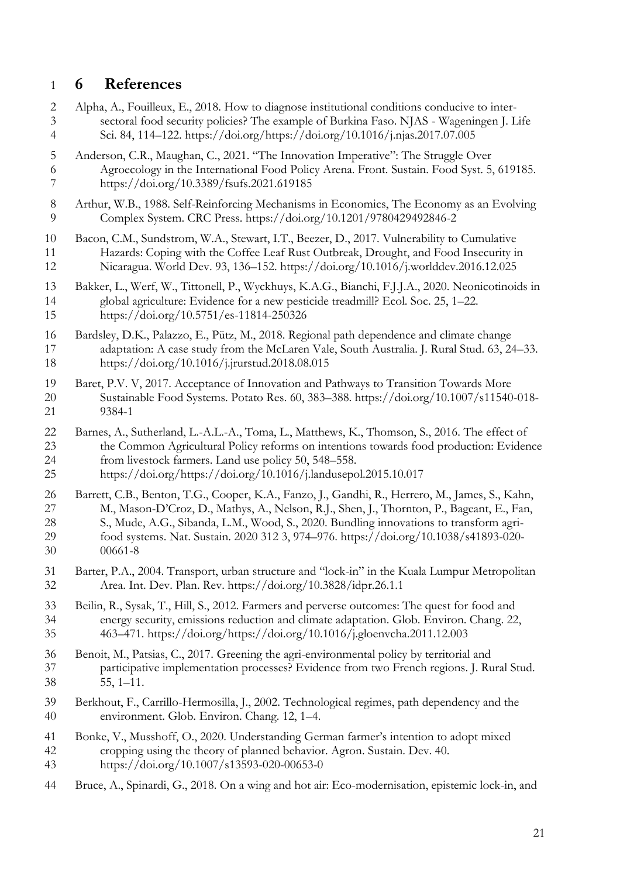## **6 References**

 Alpha, A., Fouilleux, E., 2018. How to diagnose institutional conditions conducive to inter- sectoral food security policies? The example of Burkina Faso. NJAS - Wageningen J. Life Sci. 84, 114–122. https://doi.org/https://doi.org/10.1016/j.njas.2017.07.005 Anderson, C.R., Maughan, C., 2021. "The Innovation Imperative": The Struggle Over Agroecology in the International Food Policy Arena. Front. Sustain. Food Syst. 5, 619185. https://doi.org/10.3389/fsufs.2021.619185 Arthur, W.B., 1988. Self-Reinforcing Mechanisms in Economics, The Economy as an Evolving Complex System. CRC Press. https://doi.org/10.1201/9780429492846-2 Bacon, C.M., Sundstrom, W.A., Stewart, I.T., Beezer, D., 2017. Vulnerability to Cumulative Hazards: Coping with the Coffee Leaf Rust Outbreak, Drought, and Food Insecurity in Nicaragua. World Dev. 93, 136–152. https://doi.org/10.1016/j.worlddev.2016.12.025 Bakker, L., Werf, W., Tittonell, P., Wyckhuys, K.A.G., Bianchi, F.J.J.A., 2020. Neonicotinoids in global agriculture: Evidence for a new pesticide treadmill? Ecol. Soc. 25, 1–22. https://doi.org/10.5751/es-11814-250326 Bardsley, D.K., Palazzo, E., Pütz, M., 2018. Regional path dependence and climate change adaptation: A case study from the McLaren Vale, South Australia. J. Rural Stud. 63, 24–33. https://doi.org/10.1016/j.jrurstud.2018.08.015 Baret, P.V. V, 2017. Acceptance of Innovation and Pathways to Transition Towards More Sustainable Food Systems. Potato Res. 60, 383–388. https://doi.org/10.1007/s11540-018- 9384-1 Barnes, A., Sutherland, L.-A.L.-A., Toma, L., Matthews, K., Thomson, S., 2016. The effect of the Common Agricultural Policy reforms on intentions towards food production: Evidence from livestock farmers. Land use policy 50, 548–558. https://doi.org/https://doi.org/10.1016/j.landusepol.2015.10.017 26 Barrett, C.B., Benton, T.G., Cooper, K.A., Fanzo, J., Gandhi, R., Herrero, M., James, S., Kahn,<br>27 M., Mason-D'Croz, D., Mathys, A., Nelson, R.I., Shen, I., Thornton, P., Bageant, E., Fan, M., Mason-D'Croz, D., Mathys, A., Nelson, R.J., Shen, J., Thornton, P., Bageant, E., Fan, S., Mude, A.G., Sibanda, L.M., Wood, S., 2020. Bundling innovations to transform agri- food systems. Nat. Sustain. 2020 312 3, 974–976. https://doi.org/10.1038/s41893-020- 00661-8 Barter, P.A., 2004. Transport, urban structure and "lock-in" in the Kuala Lumpur Metropolitan Area. Int. Dev. Plan. Rev. https://doi.org/10.3828/idpr.26.1.1 Beilin, R., Sysak, T., Hill, S., 2012. Farmers and perverse outcomes: The quest for food and 34 energy security, emissions reduction and climate adaptation. Glob. Environ. Chang. 22,<br>35 463–471. https://doi.org/https://doi.org/10.1016/j.gloenvcha.2011.12.003 463–471. https://doi.org/https://doi.org/10.1016/j.gloenvcha.2011.12.003 36 Benoit, M., Patsias, C., 2017. Greening the agri-environmental policy by territorial and<br>37 participative implementation processes? Evidence from two French regions. J. Ru participative implementation processes? Evidence from two French regions. J. Rural Stud. 55, 1–11. Berkhout, F., Carrillo-Hermosilla, J., 2002. Technological regimes, path dependency and the environment. Glob. Environ. Chang. 12, 1–4. Bonke, V., Musshoff, O., 2020. Understanding German farmer's intention to adopt mixed cropping using the theory of planned behavior. Agron. Sustain. Dev. 40. https://doi.org/10.1007/s13593-020-00653-0 Bruce, A., Spinardi, G., 2018. On a wing and hot air: Eco-modernisation, epistemic lock-in, and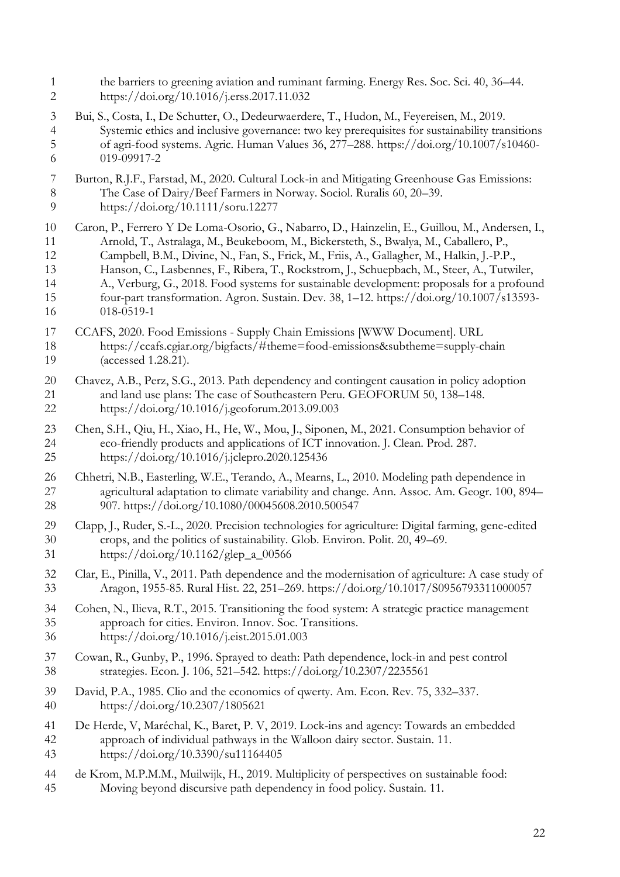the barriers to greening aviation and ruminant farming. Energy Res. Soc. Sci. 40, 36–44. https://doi.org/10.1016/j.erss.2017.11.032 Bui, S., Costa, I., De Schutter, O., Dedeurwaerdere, T., Hudon, M., Feyereisen, M., 2019. Systemic ethics and inclusive governance: two key prerequisites for sustainability transitions of agri-food systems. Agric. Human Values 36, 277–288. https://doi.org/10.1007/s10460- 019-09917-2 Burton, R.J.F., Farstad, M., 2020. Cultural Lock-in and Mitigating Greenhouse Gas Emissions: 8 The Case of Dairy/Beef Farmers in Norway. Sociol. Ruralis 60, 20–39.<br>9 https://doi.org/10.1111/soru.12277 https://doi.org/10.1111/soru.12277 Caron, P., Ferrero Y De Loma-Osorio, G., Nabarro, D., Hainzelin, E., Guillou, M., Andersen, I., Arnold, T., Astralaga, M., Beukeboom, M., Bickersteth, S., Bwalya, M., Caballero, P., Campbell, B.M., Divine, N., Fan, S., Frick, M., Friis, A., Gallagher, M., Halkin, J.-P.P., Hanson, C., Lasbennes, F., Ribera, T., Rockstrom, J., Schuepbach, M., Steer, A., Tutwiler, A., Verburg, G., 2018. Food systems for sustainable development: proposals for a profound four-part transformation. Agron. Sustain. Dev. 38, 1–12. https://doi.org/10.1007/s13593- 018-0519-1 CCAFS, 2020. Food Emissions - Supply Chain Emissions [WWW Document]. URL https://ccafs.cgiar.org/bigfacts/#theme=food-emissions&subtheme=supply-chain (accessed 1.28.21). Chavez, A.B., Perz, S.G., 2013. Path dependency and contingent causation in policy adoption 21 and land use plans: The case of Southeastern Peru. GEOFORUM 50, 138–148.<br>22 https://doi.org/10.1016/j.geoforum.2013.09.003 https://doi.org/10.1016/j.geoforum.2013.09.003 Chen, S.H., Qiu, H., Xiao, H., He, W., Mou, J., Siponen, M., 2021. Consumption behavior of eco-friendly products and applications of ICT innovation. J. Clean. Prod. 287. https://doi.org/10.1016/j.jclepro.2020.125436 26 Chhetri, N.B., Easterling, W.E., Terando, A., Mearns, L., 2010. Modeling path dependence in agricultural adaptation to climate variability and change. Ann. Assoc. Am. Geogr. 100, 89 agricultural adaptation to climate variability and change. Ann. Assoc. Am. Geogr. 100, 894– 907. https://doi.org/10.1080/00045608.2010.500547 Clapp, J., Ruder, S.-L., 2020. Precision technologies for agriculture: Digital farming, gene-edited crops, and the politics of sustainability. Glob. Environ. Polit. 20, 49–69. https://doi.org/10.1162/glep\_a\_00566 Clar, E., Pinilla, V., 2011. Path dependence and the modernisation of agriculture: A case study of Aragon, 1955-85. Rural Hist. 22, 251–269. https://doi.org/10.1017/S0956793311000057 34 Cohen, N., Ilieva, R.T., 2015. Transitioning the food system: A strategic practice management<br>35 approach for cities. Environ. Innov. Soc. Transitions. approach for cities. Environ. Innov. Soc. Transitions. https://doi.org/10.1016/j.eist.2015.01.003 Cowan, R., Gunby, P., 1996. Sprayed to death: Path dependence, lock-in and pest control strategies. Econ. J. 106, 521–542. https://doi.org/10.2307/2235561 David, P.A., 1985. Clio and the economics of qwerty. Am. Econ. Rev. 75, 332–337. https://doi.org/10.2307/1805621 De Herde, V, Maréchal, K., Baret, P. V, 2019. Lock-ins and agency: Towards an embedded approach of individual pathways in the Walloon dairy sector. Sustain. 11. https://doi.org/10.3390/su11164405 de Krom, M.P.M.M., Muilwijk, H., 2019. Multiplicity of perspectives on sustainable food: Moving beyond discursive path dependency in food policy. Sustain. 11.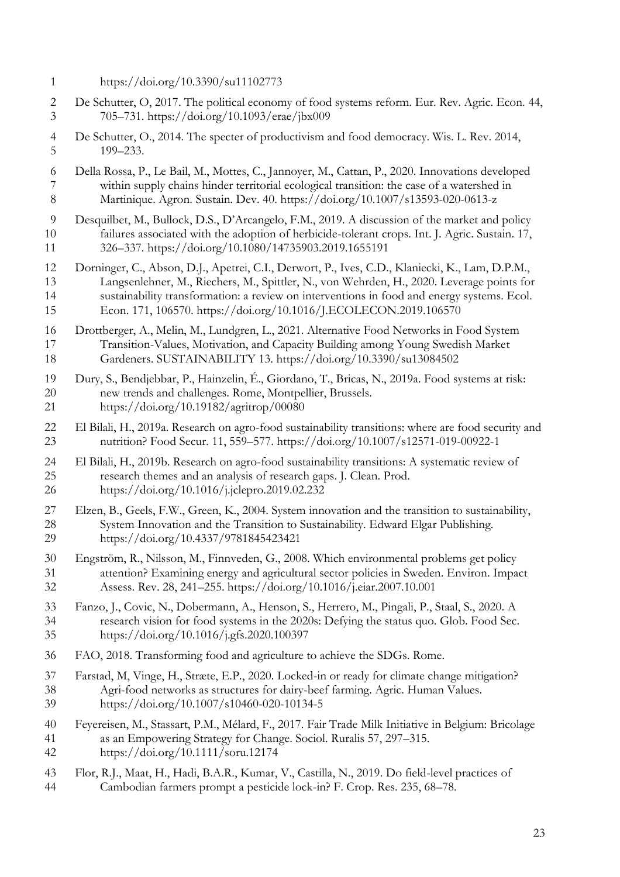- https://doi.org/10.3390/su11102773
- De Schutter, O, 2017. The political economy of food systems reform. Eur. Rev. Agric. Econ. 44, 705–731. https://doi.org/10.1093/erae/jbx009
- De Schutter, O., 2014. The specter of productivism and food democracy. Wis. L. Rev. 2014, 199–233.
- Della Rossa, P., Le Bail, M., Mottes, C., Jannoyer, M., Cattan, P., 2020. Innovations developed within supply chains hinder territorial ecological transition: the case of a watershed in Martinique. Agron. Sustain. Dev. 40. https://doi.org/10.1007/s13593-020-0613-z
- Desquilbet, M., Bullock, D.S., D'Arcangelo, F.M., 2019. A discussion of the market and policy failures associated with the adoption of herbicide-tolerant crops. Int. J. Agric. Sustain. 17, 326–337. https://doi.org/10.1080/14735903.2019.1655191
- Dorninger, C., Abson, D.J., Apetrei, C.I., Derwort, P., Ives, C.D., Klaniecki, K., Lam, D.P.M., Langsenlehner, M., Riechers, M., Spittler, N., von Wehrden, H., 2020. Leverage points for sustainability transformation: a review on interventions in food and energy systems. Ecol. Econ. 171, 106570. https://doi.org/10.1016/J.ECOLECON.2019.106570
- Drottberger, A., Melin, M., Lundgren, L., 2021. Alternative Food Networks in Food System Transition-Values, Motivation, and Capacity Building among Young Swedish Market Gardeners. SUSTAINABILITY 13. https://doi.org/10.3390/su13084502
- Dury, S., Bendjebbar, P., Hainzelin, É., Giordano, T., Bricas, N., 2019a. Food systems at risk: new trends and challenges. Rome, Montpellier, Brussels. https://doi.org/10.19182/agritrop/00080
- El Bilali, H., 2019a. Research on agro-food sustainability transitions: where are food security and nutrition? Food Secur. 11, 559–577. https://doi.org/10.1007/s12571-019-00922-1
- 24 El Bilali, H., 2019b. Research on agro-food sustainability transitions: A systematic review of research themes and an analysis of research gaps. I. Clean. Prod. research themes and an analysis of research gaps. J. Clean. Prod. https://doi.org/10.1016/j.jclepro.2019.02.232
- Elzen, B., Geels, F.W., Green, K., 2004. System innovation and the transition to sustainability, System Innovation and the Transition to Sustainability. Edward Elgar Publishing. https://doi.org/10.4337/9781845423421
- Engström, R., Nilsson, M., Finnveden, G., 2008. Which environmental problems get policy 31 attention? Examining energy and agricultural sector policies in Sweden. Environ. Impact<br>32 Assess. Rev. 28, 241–255. https://doi.org/10.1016/j.eiar.2007.10.001 Assess. Rev. 28, 241–255. https://doi.org/10.1016/j.eiar.2007.10.001
- Fanzo, J., Covic, N., Dobermann, A., Henson, S., Herrero, M., Pingali, P., Staal, S., 2020. A research vision for food systems in the 2020s: Defying the status quo. Glob. Food Sec. https://doi.org/10.1016/j.gfs.2020.100397
- FAO, 2018. Transforming food and agriculture to achieve the SDGs. Rome.
- Farstad, M, Vinge, H., Stræte, E.P., 2020. Locked-in or ready for climate change mitigation? Agri-food networks as structures for dairy-beef farming. Agric. Human Values. https://doi.org/10.1007/s10460-020-10134-5
- Feyereisen, M., Stassart, P.M., Mélard, F., 2017. Fair Trade Milk Initiative in Belgium: Bricolage as an Empowering Strategy for Change. Sociol. Ruralis 57, 297–315.
- https://doi.org/10.1111/soru.12174
- Flor, R.J., Maat, H., Hadi, B.A.R., Kumar, V., Castilla, N., 2019. Do field-level practices of Cambodian farmers prompt a pesticide lock-in? F. Crop. Res. 235, 68–78.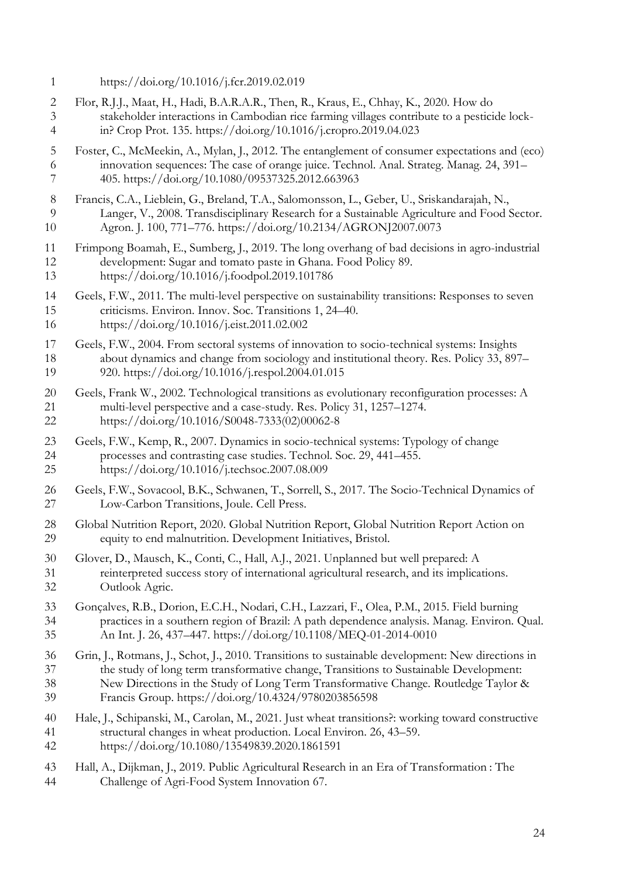- https://doi.org/10.1016/j.fcr.2019.02.019
- Flor, R.J.J., Maat, H., Hadi, B.A.R.A.R., Then, R., Kraus, E., Chhay, K., 2020. How do stakeholder interactions in Cambodian rice farming villages contribute to a pesticide lock-in? Crop Prot. 135. https://doi.org/10.1016/j.cropro.2019.04.023
- Foster, C., McMeekin, A., Mylan, J., 2012. The entanglement of consumer expectations and (eco) innovation sequences: The case of orange juice. Technol. Anal. Strateg. Manag. 24, 391– 405. https://doi.org/10.1080/09537325.2012.663963
- Francis, C.A., Lieblein, G., Breland, T.A., Salomonsson, L., Geber, U., Sriskandarajah, N., Langer, V., 2008. Transdisciplinary Research for a Sustainable Agriculture and Food Sector. Agron. J. 100, 771–776. https://doi.org/10.2134/AGRONJ2007.0073
- Frimpong Boamah, E., Sumberg, J., 2019. The long overhang of bad decisions in agro-industrial development: Sugar and tomato paste in Ghana. Food Policy 89. https://doi.org/10.1016/j.foodpol.2019.101786
- Geels, F.W., 2011. The multi-level perspective on sustainability transitions: Responses to seven criticisms. Environ. Innov. Soc. Transitions 1, 24–40. https://doi.org/10.1016/j.eist.2011.02.002
- Geels, F.W., 2004. From sectoral systems of innovation to socio-technical systems: Insights about dynamics and change from sociology and institutional theory. Res. Policy 33, 897– 920. https://doi.org/10.1016/j.respol.2004.01.015
- Geels, Frank W., 2002. Technological transitions as evolutionary reconfiguration processes: A 21 multi-level perspective and a case-study. Res. Policy 31, 1257–1274.<br>22 https://doi.org/10.1016/S0048-7333(02)00062-8 https://doi.org/10.1016/S0048-7333(02)00062-8
- Geels, F.W., Kemp, R., 2007. Dynamics in socio-technical systems: Typology of change processes and contrasting case studies. Technol. Soc. 29, 441–455. https://doi.org/10.1016/j.techsoc.2007.08.009
- Geels, F.W., Sovacool, B.K., Schwanen, T., Sorrell, S., 2017. The Socio-Technical Dynamics of Low-Carbon Transitions, Joule. Cell Press.
- Global Nutrition Report, 2020. Global Nutrition Report, Global Nutrition Report Action on equity to end malnutrition. Development Initiatives, Bristol.
- Glover, D., Mausch, K., Conti, C., Hall, A.J., 2021. Unplanned but well prepared: A 31 reinterpreted success story of international agricultural research, and its implications.<br>32 Outlook Agric. Outlook Agric.
- Gonçalves, R.B., Dorion, E.C.H., Nodari, C.H., Lazzari, F., Olea, P.M., 2015. Field burning practices in a southern region of Brazil: A path dependence analysis. Manag. Environ. Qual. An Int. J. 26, 437–447. https://doi.org/10.1108/MEQ-01-2014-0010
- Grin, J., Rotmans, J., Schot, J., 2010. Transitions to sustainable development: New directions in the study of long term transformative change, Transitions to Sustainable Development: New Directions in the Study of Long Term Transformative Change. Routledge Taylor & Francis Group. https://doi.org/10.4324/9780203856598
- Hale, J., Schipanski, M., Carolan, M., 2021. Just wheat transitions?: working toward constructive structural changes in wheat production. Local Environ. 26, 43–59. https://doi.org/10.1080/13549839.2020.1861591
- Hall, A., Dijkman, J., 2019. Public Agricultural Research in an Era of Transformation : The Challenge of Agri-Food System Innovation 67.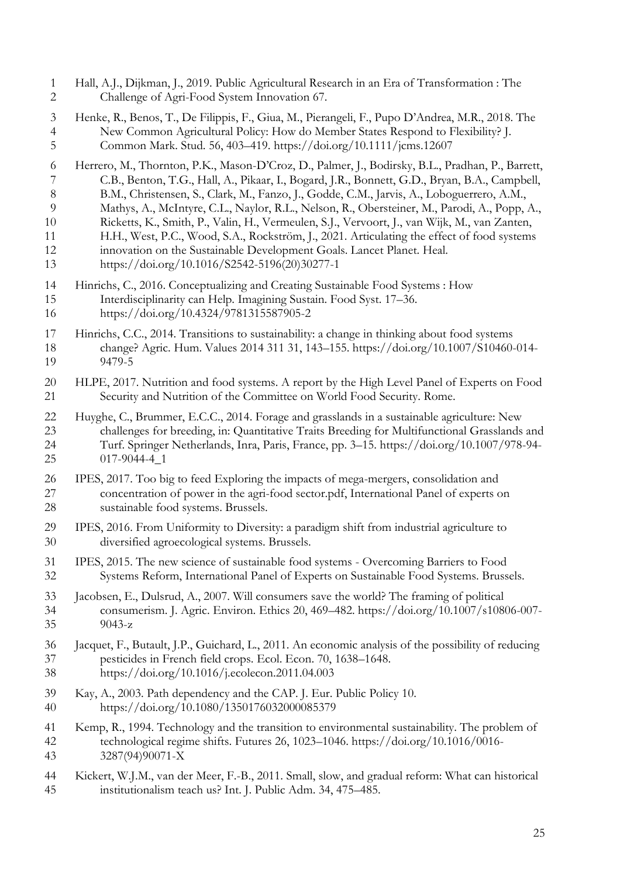| $\mathbf{1}$   | Hall, A.J., Dijkman, J., 2019. Public Agricultural Research in an Era of Transformation: The        |
|----------------|-----------------------------------------------------------------------------------------------------|
| $\overline{c}$ | Challenge of Agri-Food System Innovation 67.                                                        |
| 3              | Henke, R., Benos, T., De Filippis, F., Giua, M., Pierangeli, F., Pupo D'Andrea, M.R., 2018. The     |
| $\overline{4}$ | New Common Agricultural Policy: How do Member States Respond to Flexibility? J.                     |
| 5              | Common Mark. Stud. 56, 403-419. https://doi.org/10.1111/jcms.12607                                  |
| 6              | Herrero, M., Thornton, P.K., Mason-D'Croz, D., Palmer, J., Bodirsky, B.L., Pradhan, P., Barrett,    |
| 7              | C.B., Benton, T.G., Hall, A., Pikaar, I., Bogard, J.R., Bonnett, G.D., Bryan, B.A., Campbell,       |
| $8\,$          | B.M., Christensen, S., Clark, M., Fanzo, J., Godde, C.M., Jarvis, A., Loboguerrero, A.M.,           |
| 9              | Mathys, A., McIntyre, C.L., Naylor, R.L., Nelson, R., Obersteiner, M., Parodi, A., Popp, A.,        |
| 10             | Ricketts, K., Smith, P., Valin, H., Vermeulen, S.J., Vervoort, J., van Wijk, M., van Zanten,        |
| 11             | H.H., West, P.C., Wood, S.A., Rockström, J., 2021. Articulating the effect of food systems          |
| 12             | innovation on the Sustainable Development Goals. Lancet Planet. Heal.                               |
| 13             | https://doi.org/10.1016/S2542-5196(20)30277-1                                                       |
| 14             | Hinrichs, C., 2016. Conceptualizing and Creating Sustainable Food Systems : How                     |
| 15             | Interdisciplinarity can Help. Imagining Sustain. Food Syst. 17-36.                                  |
| 16             | https://doi.org/10.4324/9781315587905-2                                                             |
| 17             | Hinrichs, C.C., 2014. Transitions to sustainability: a change in thinking about food systems        |
| 18             | change? Agric. Hum. Values 2014 311 31, 143-155. https://doi.org/10.1007/S10460-014-                |
| 19             | 9479-5                                                                                              |
| 20             | HLPE, 2017. Nutrition and food systems. A report by the High Level Panel of Experts on Food         |
| 21             | Security and Nutrition of the Committee on World Food Security. Rome.                               |
| 22             | Huyghe, C., Brummer, E.C.C., 2014. Forage and grasslands in a sustainable agriculture: New          |
| 23             | challenges for breeding, in: Quantitative Traits Breeding for Multifunctional Grasslands and        |
| 24             | Turf. Springer Netherlands, Inra, Paris, France, pp. 3-15. https://doi.org/10.1007/978-94-          |
| 25             | $017-9044-4$ <sub>-1</sub>                                                                          |
| 26             | IPES, 2017. Too big to feed Exploring the impacts of mega-mergers, consolidation and                |
| 27             | concentration of power in the agri-food sector.pdf, International Panel of experts on               |
| 28             | sustainable food systems. Brussels.                                                                 |
| 29             | IPES, 2016. From Uniformity to Diversity: a paradigm shift from industrial agriculture to           |
| 30             | diversified agroecological systems. Brussels.                                                       |
| 31             | IPES, 2015. The new science of sustainable food systems - Overcoming Barriers to Food               |
| 32             | Systems Reform, International Panel of Experts on Sustainable Food Systems. Brussels.               |
| 33             | Jacobsen, E., Dulsrud, A., 2007. Will consumers save the world? The framing of political            |
| 34             | consumerism. J. Agric. Environ. Ethics 20, 469-482. https://doi.org/10.1007/s10806-007-             |
| 35             | $9043-z$                                                                                            |
| 36             | Jacquet, F., Butault, J.P., Guichard, L., 2011. An economic analysis of the possibility of reducing |
| 37             | pesticides in French field crops. Ecol. Econ. 70, 1638-1648.                                        |
| 38             | https://doi.org/10.1016/j.ecolecon.2011.04.003                                                      |
| 39             | Kay, A., 2003. Path dependency and the CAP. J. Eur. Public Policy 10.                               |
| 40             | https://doi.org/10.1080/1350176032000085379                                                         |
| 41             | Kemp, R., 1994. Technology and the transition to environmental sustainability. The problem of       |
| 42             | technological regime shifts. Futures 26, 1023-1046. https://doi.org/10.1016/0016-                   |
| 43             | 3287(94)90071-X                                                                                     |
| 44             | Kickert, W.J.M., van der Meer, F.-B., 2011. Small, slow, and gradual reform: What can historical    |
| 45             | institutionalism teach us? Int. J. Public Adm. 34, 475–485.                                         |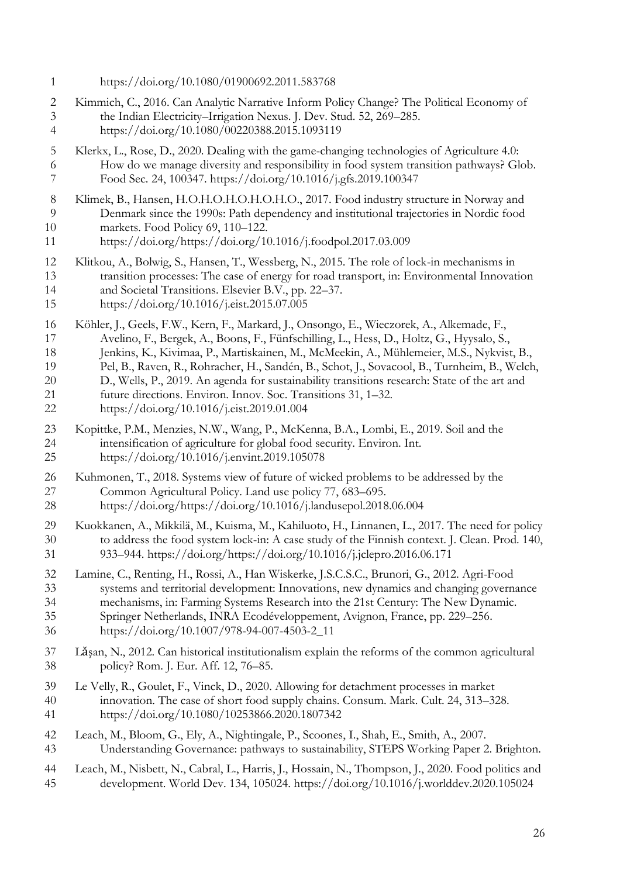- https://doi.org/10.1080/01900692.2011.583768
- Kimmich, C., 2016. Can Analytic Narrative Inform Policy Change? The Political Economy of the Indian Electricity–Irrigation Nexus. J. Dev. Stud. 52, 269–285. https://doi.org/10.1080/00220388.2015.1093119
- Klerkx, L., Rose, D., 2020. Dealing with the game-changing technologies of Agriculture 4.0: How do we manage diversity and responsibility in food system transition pathways? Glob. Food Sec. 24, 100347. https://doi.org/10.1016/j.gfs.2019.100347
- 8 Klimek, B., Hansen, H.O.H.O.H.O.H.O.H.O., 2017. Food industry structure in Norway and<br>9 Denmark since the 1990s: Path dependency and institutional trajectories in Nordic food Denmark since the 1990s: Path dependency and institutional trajectories in Nordic food markets. Food Policy 69, 110–122.
- https://doi.org/https://doi.org/10.1016/j.foodpol.2017.03.009
- Klitkou, A., Bolwig, S., Hansen, T., Wessberg, N., 2015. The role of lock-in mechanisms in transition processes: The case of energy for road transport, in: Environmental Innovation and Societal Transitions. Elsevier B.V., pp. 22–37.
- https://doi.org/10.1016/j.eist.2015.07.005
- Köhler, J., Geels, F.W., Kern, F., Markard, J., Onsongo, E., Wieczorek, A., Alkemade, F., Avelino, F., Bergek, A., Boons, F., Fünfschilling, L., Hess, D., Holtz, G., Hyysalo, S.,
- Jenkins, K., Kivimaa, P., Martiskainen, M., McMeekin, A., Mühlemeier, M.S., Nykvist, B.,
- Pel, B., Raven, R., Rohracher, H., Sandén, B., Schot, J., Sovacool, B., Turnheim, B., Welch,
- D., Wells, P., 2019. An agenda for sustainability transitions research: State of the art and
- 21 future directions. Environ. Innov. Soc. Transitions 31, 1–32.<br>22 https://doi.org/10.1016/j.eist.2019.01.004
- https://doi.org/10.1016/j.eist.2019.01.004
- Kopittke, P.M., Menzies, N.W., Wang, P., McKenna, B.A., Lombi, E., 2019. Soil and the intensification of agriculture for global food security. Environ. Int.
- https://doi.org/10.1016/j.envint.2019.105078
- Kuhmonen, T., 2018. Systems view of future of wicked problems to be addressed by the Common Agricultural Policy. Land use policy 77, 683–695. https://doi.org/https://doi.org/10.1016/j.landusepol.2018.06.004
- Kuokkanen, A., Mikkilä, M., Kuisma, M., Kahiluoto, H., Linnanen, L., 2017. The need for policy to address the food system lock-in: A case study of the Finnish context. J. Clean. Prod. 140, 933–944. https://doi.org/https://doi.org/10.1016/j.jclepro.2016.06.171
- Lamine, C., Renting, H., Rossi, A., Han Wiskerke, J.S.C.S.C., Brunori, G., 2012. Agri-Food systems and territorial development: Innovations, new dynamics and changing governance mechanisms, in: Farming Systems Research into the 21st Century: The New Dynamic. Springer Netherlands, INRA Ecodéveloppement, Avignon, France, pp. 229–256.
- https://doi.org/10.1007/978-94-007-4503-2\_11
- Lǎşan, N., 2012. Can historical institutionalism explain the reforms of the common agricultural policy? Rom. J. Eur. Aff. 12, 76–85.
- Le Velly, R., Goulet, F., Vinck, D., 2020. Allowing for detachment processes in market innovation. The case of short food supply chains. Consum. Mark. Cult. 24, 313–328. https://doi.org/10.1080/10253866.2020.1807342
- Leach, M., Bloom, G., Ely, A., Nightingale, P., Scoones, I., Shah, E., Smith, A., 2007. Understanding Governance: pathways to sustainability, STEPS Working Paper 2. Brighton.
- Leach, M., Nisbett, N., Cabral, L., Harris, J., Hossain, N., Thompson, J., 2020. Food politics and development. World Dev. 134, 105024. https://doi.org/10.1016/j.worlddev.2020.105024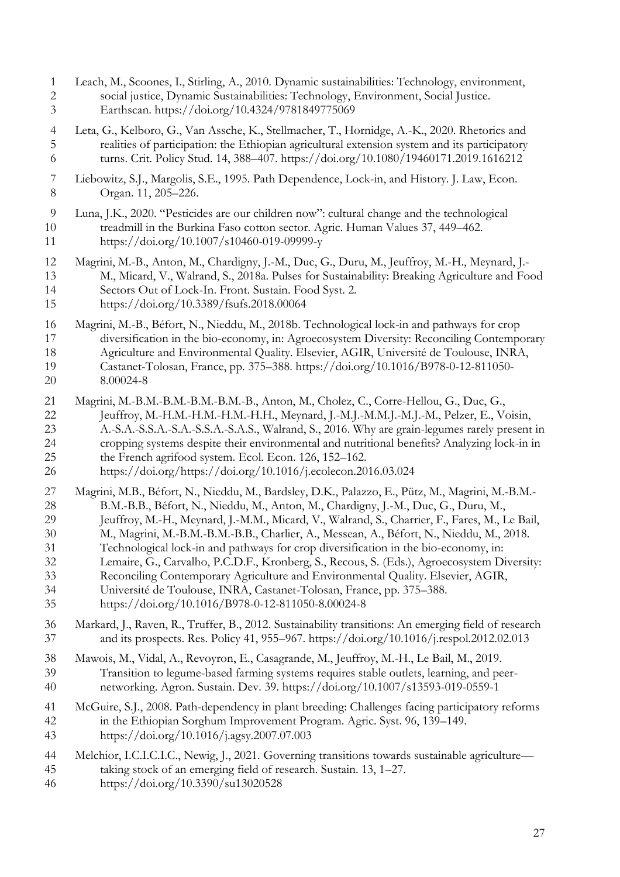- Leach, M., Scoones, I., Stirling, A., 2010. Dynamic sustainabilities: Technology, environment, social justice, Dynamic Sustainabilities: Technology, Environment, Social Justice. Earthscan. https://doi.org/10.4324/9781849775069
- Leta, G., Kelboro, G., Van Assche, K., Stellmacher, T., Hornidge, A.-K., 2020. Rhetorics and realities of participation: the Ethiopian agricultural extension system and its participatory turns. Crit. Policy Stud. 14, 388–407. https://doi.org/10.1080/19460171.2019.1616212
- Liebowitz, S.J., Margolis, S.E., 1995. Path Dependence, Lock-in, and History. J. Law, Econ. Organ. 11, 205–226.
- Luna, J.K., 2020. "Pesticides are our children now": cultural change and the technological treadmill in the Burkina Faso cotton sector. Agric. Human Values 37, 449–462. https://doi.org/10.1007/s10460-019-09999-y
- Magrini, M.-B., Anton, M., Chardigny, J.-M., Duc, G., Duru, M., Jeuffroy, M.-H., Meynard, J.- M., Micard, V., Walrand, S., 2018a. Pulses for Sustainability: Breaking Agriculture and Food Sectors Out of Lock-In. Front. Sustain. Food Syst. 2. https://doi.org/10.3389/fsufs.2018.00064
- 
- Magrini, M.-B., Béfort, N., Nieddu, M., 2018b. Technological lock-in and pathways for crop diversification in the bio-economy, in: Agroecosystem Diversity: Reconciling Contemporary Agriculture and Environmental Quality. Elsevier, AGIR, Université de Toulouse, INRA, Castanet-Tolosan, France, pp. 375–388. https://doi.org/10.1016/B978-0-12-811050- 8.00024-8
- Magrini, M.-B.M.-B.M.-B.M.-B.M.-B., Anton, M., Cholez, C., Corre-Hellou, G., Duc, G., 22 Jeuffroy, M.-H.M.-H.M.-H.M.-H.H., Meynard, J.-M.J.-M.J.-M.J.-M., Pelzer, E., Voisin,<br>23 A.-S.A.-S.S.A.-S.S.A.-S.S.A.-S.A.S., Walrand, S., 2016. Why are grain-legumes rarely present A.-S.A.-S.S.A.-S.A.-S.S.A.-S.A.S., Walrand, S., 2016. Why are grain-legumes rarely present in cropping systems despite their environmental and nutritional benefits? Analyzing lock-in in the French agrifood system. Ecol. Econ. 126, 152–162.
- https://doi.org/https://doi.org/10.1016/j.ecolecon.2016.03.024
- Magrini, M.B., Béfort, N., Nieddu, M., Bardsley, D.K., Palazzo, E., Pütz, M., Magrini, M.-B.M.- 28 B.M.-B.B., Béfort, N., Nieddu, M., Anton, M., Chardigny, J.-M., Duc, G., Duru, M.,<br>29 Jeuffroy, M.-H., Meynard, J.-M.M., Micard, V., Walrand, S., Charrier, F., Fares, M., I
- Jeuffroy, M.-H., Meynard, J.-M.M., Micard, V., Walrand, S., Charrier, F., Fares, M., Le Bail, M., Magrini, M.-B.M.-B.M.-B.B., Charlier, A., Messean, A., Béfort, N., Nieddu, M., 2018.
- Technological lock-in and pathways for crop diversification in the bio-economy, in:
- Lemaire, G., Carvalho, P.C.D.F., Kronberg, S., Recous, S. (Eds.), Agroecosystem Diversity:
- Reconciling Contemporary Agriculture and Environmental Quality. Elsevier, AGIR,
	- Université de Toulouse, INRA, Castanet-Tolosan, France, pp. 375–388.
	- https://doi.org/10.1016/B978-0-12-811050-8.00024-8
	- Markard, J., Raven, R., Truffer, B., 2012. Sustainability transitions: An emerging field of research and its prospects. Res. Policy 41, 955–967. https://doi.org/10.1016/j.respol.2012.02.013
	- Mawois, M., Vidal, A., Revoyron, E., Casagrande, M., Jeuffroy, M.-H., Le Bail, M., 2019. Transition to legume-based farming systems requires stable outlets, learning, and peer-networking. Agron. Sustain. Dev. 39. https://doi.org/10.1007/s13593-019-0559-1
	- McGuire, S.J., 2008. Path-dependency in plant breeding: Challenges facing participatory reforms in the Ethiopian Sorghum Improvement Program. Agric. Syst. 96, 139–149. https://doi.org/10.1016/j.agsy.2007.07.003
	- Melchior, I.C.I.C.I.C., Newig, J., 2021. Governing transitions towards sustainable agriculture— taking stock of an emerging field of research. Sustain. 13, 1–27.
	- https://doi.org/10.3390/su13020528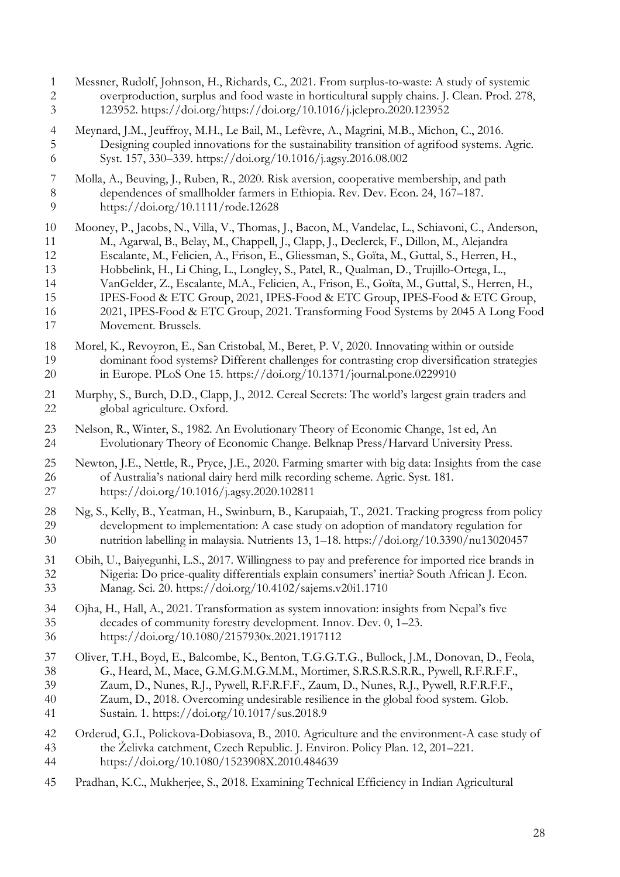Messner, Rudolf, Johnson, H., Richards, C., 2021. From surplus-to-waste: A study of systemic overproduction, surplus and food waste in horticultural supply chains. J. Clean. Prod. 278, 123952. https://doi.org/https://doi.org/10.1016/j.jclepro.2020.123952 Meynard, J.M., Jeuffroy, M.H., Le Bail, M., Lefèvre, A., Magrini, M.B., Michon, C., 2016. Designing coupled innovations for the sustainability transition of agrifood systems. Agric. Syst. 157, 330–339. https://doi.org/10.1016/j.agsy.2016.08.002 Molla, A., Beuving, J., Ruben, R., 2020. Risk aversion, cooperative membership, and path 8 dependences of smallholder farmers in Ethiopia. Rev. Dev. Econ. 24, 167–187.<br>9 https://doi.org/10.1111/rode.12628 https://doi.org/10.1111/rode.12628 Mooney, P., Jacobs, N., Villa, V., Thomas, J., Bacon, M., Vandelac, L., Schiavoni, C., Anderson, M., Agarwal, B., Belay, M., Chappell, J., Clapp, J., Declerck, F., Dillon, M., Alejandra Escalante, M., Felicien, A., Frison, E., Gliessman, S., Goïta, M., Guttal, S., Herren, H., Hobbelink, H., Li Ching, L., Longley, S., Patel, R., Qualman, D., Trujillo-Ortega, L., VanGelder, Z., Escalante, M.A., Felicien, A., Frison, E., Goïta, M., Guttal, S., Herren, H., IPES-Food & ETC Group, 2021, IPES-Food & ETC Group, IPES-Food & ETC Group, 2021, IPES-Food & ETC Group, 2021. Transforming Food Systems by 2045 A Long Food Movement. Brussels. Morel, K., Revoyron, E., San Cristobal, M., Beret, P. V, 2020. Innovating within or outside dominant food systems? Different challenges for contrasting crop diversification strategies in Europe. PLoS One 15. https://doi.org/10.1371/journal.pone.0229910 21 Murphy, S., Burch, D.D., Clapp, J., 2012. Cereal Secrets: The world's largest grain traders and global agriculture. Oxford. global agriculture. Oxford. Nelson, R., Winter, S., 1982. An Evolutionary Theory of Economic Change, 1st ed, An Evolutionary Theory of Economic Change. Belknap Press/Harvard University Press. Newton, J.E., Nettle, R., Pryce, J.E., 2020. Farming smarter with big data: Insights from the case 26 of Australia's national dairy herd milk recording scheme. Agric. Syst. 181.<br>27 https://doi.org/10.1016/j.agsv.2020.102811 https://doi.org/10.1016/j.agsy.2020.102811 Ng, S., Kelly, B., Yeatman, H., Swinburn, B., Karupaiah, T., 2021. Tracking progress from policy development to implementation: A case study on adoption of mandatory regulation for nutrition labelling in malaysia. Nutrients 13, 1–18. https://doi.org/10.3390/nu13020457 Obih, U., Baiyegunhi, L.S., 2017. Willingness to pay and preference for imported rice brands in Nigeria: Do price-quality differentials explain consumers' inertia? South African J. Econ. Manag. Sci. 20. https://doi.org/10.4102/sajems.v20i1.1710 34 Ojha, H., Hall, A., 2021. Transformation as system innovation: insights from Nepal's five<br>35 decades of community forestry development. Innov. Dev. 0, 1–23. decades of community forestry development. Innov. Dev. 0, 1–23. https://doi.org/10.1080/2157930x.2021.1917112 Oliver, T.H., Boyd, E., Balcombe, K., Benton, T.G.G.T.G., Bullock, J.M., Donovan, D., Feola, G., Heard, M., Mace, G.M.G.M.G.M.M., Mortimer, S.R.S.R.S.R.R., Pywell, R.F.R.F.F., Zaum, D., Nunes, R.J., Pywell, R.F.R.F.F., Zaum, D., Nunes, R.J., Pywell, R.F.R.F.F., Zaum, D., 2018. Overcoming undesirable resilience in the global food system. Glob. Sustain. 1. https://doi.org/10.1017/sus.2018.9 Orderud, G.I., Polickova-Dobiasova, B., 2010. Agriculture and the environment-A case study of the Želivka catchment, Czech Republic. J. Environ. Policy Plan. 12, 201–221. https://doi.org/10.1080/1523908X.2010.484639 Pradhan, K.C., Mukherjee, S., 2018. Examining Technical Efficiency in Indian Agricultural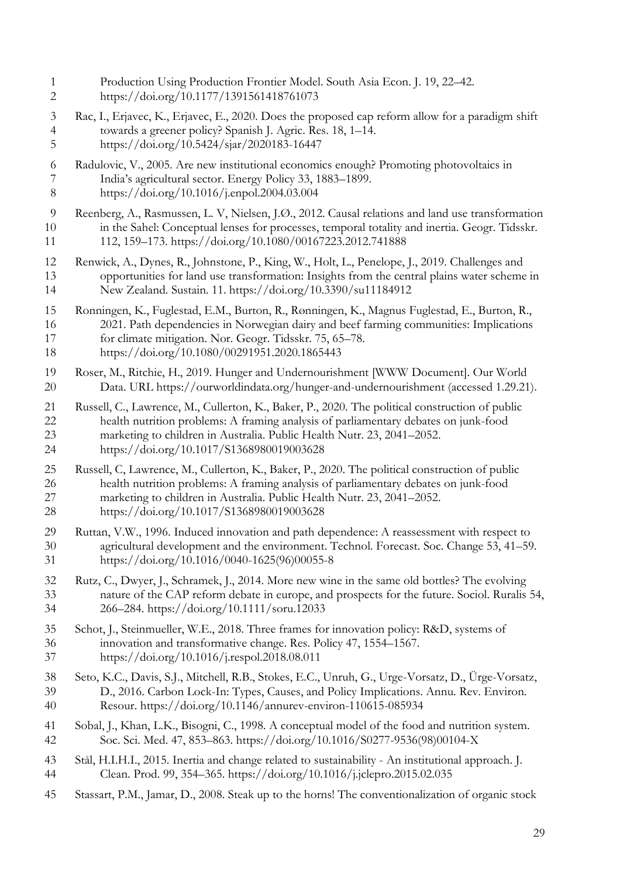Production Using Production Frontier Model. South Asia Econ. J. 19, 22–42. https://doi.org/10.1177/1391561418761073 Rac, I., Erjavec, K., Erjavec, E., 2020. Does the proposed cap reform allow for a paradigm shift towards a greener policy? Spanish J. Agric. Res. 18, 1–14. https://doi.org/10.5424/sjar/2020183-16447 Radulovic, V., 2005. Are new institutional economics enough? Promoting photovoltaics in India's agricultural sector. Energy Policy 33, 1883–1899. https://doi.org/10.1016/j.enpol.2004.03.004 Reenberg, A., Rasmussen, L. V, Nielsen, J.Ø., 2012. Causal relations and land use transformation in the Sahel: Conceptual lenses for processes, temporal totality and inertia. Geogr. Tidsskr. 112, 159–173. https://doi.org/10.1080/00167223.2012.741888 Renwick, A., Dynes, R., Johnstone, P., King, W., Holt, L., Penelope, J., 2019. Challenges and opportunities for land use transformation: Insights from the central plains water scheme in New Zealand. Sustain. 11. https://doi.org/10.3390/su11184912 Ronningen, K., Fuglestad, E.M., Burton, R., Rønningen, K., Magnus Fuglestad, E., Burton, R., 2021. Path dependencies in Norwegian dairy and beef farming communities: Implications for climate mitigation. Nor. Geogr. Tidsskr. 75, 65–78. https://doi.org/10.1080/00291951.2020.1865443 Roser, M., Ritchie, H., 2019. Hunger and Undernourishment [WWW Document]. Our World Data. URL https://ourworldindata.org/hunger-and-undernourishment (accessed 1.29.21). Russell, C., Lawrence, M., Cullerton, K., Baker, P., 2020. The political construction of public health nutrition problems: A framing analysis of parliamentary debates on junk-food marketing to children in Australia. Public Health Nutr. 23, 2041–2052. https://doi.org/10.1017/S1368980019003628 Russell, C, Lawrence, M., Cullerton, K., Baker, P., 2020. The political construction of public health nutrition problems: A framing analysis of parliamentary debates on junk-food marketing to children in Australia. Public Health Nutr. 23, 2041–2052. https://doi.org/10.1017/S1368980019003628 Ruttan, V.W., 1996. Induced innovation and path dependence: A reassessment with respect to agricultural development and the environment. Technol. Forecast. Soc. Change 53, 41–59. https://doi.org/10.1016/0040-1625(96)00055-8 Rutz, C., Dwyer, J., Schramek, J., 2014. More new wine in the same old bottles? The evolving nature of the CAP reform debate in europe, and prospects for the future. Sociol. Ruralis 54, 266–284. https://doi.org/10.1111/soru.12033 Schot, J., Steinmueller, W.E., 2018. Three frames for innovation policy: R&D, systems of innovation and transformative change. Res. Policy 47, 1554–1567. https://doi.org/10.1016/j.respol.2018.08.011 Seto, K.C., Davis, S.J., Mitchell, R.B., Stokes, E.C., Unruh, G., Urge-Vorsatz, D., Ürge-Vorsatz, D., 2016. Carbon Lock-In: Types, Causes, and Policy Implications. Annu. Rev. Environ. Resour. https://doi.org/10.1146/annurev-environ-110615-085934 Sobal, J., Khan, L.K., Bisogni, C., 1998. A conceptual model of the food and nutrition system. Soc. Sci. Med. 47, 853–863. https://doi.org/10.1016/S0277-9536(98)00104-X Stål, H.I.H.I., 2015. Inertia and change related to sustainability - An institutional approach. J. Clean. Prod. 99, 354–365. https://doi.org/10.1016/j.jclepro.2015.02.035 Stassart, P.M., Jamar, D., 2008. Steak up to the horns! The conventionalization of organic stock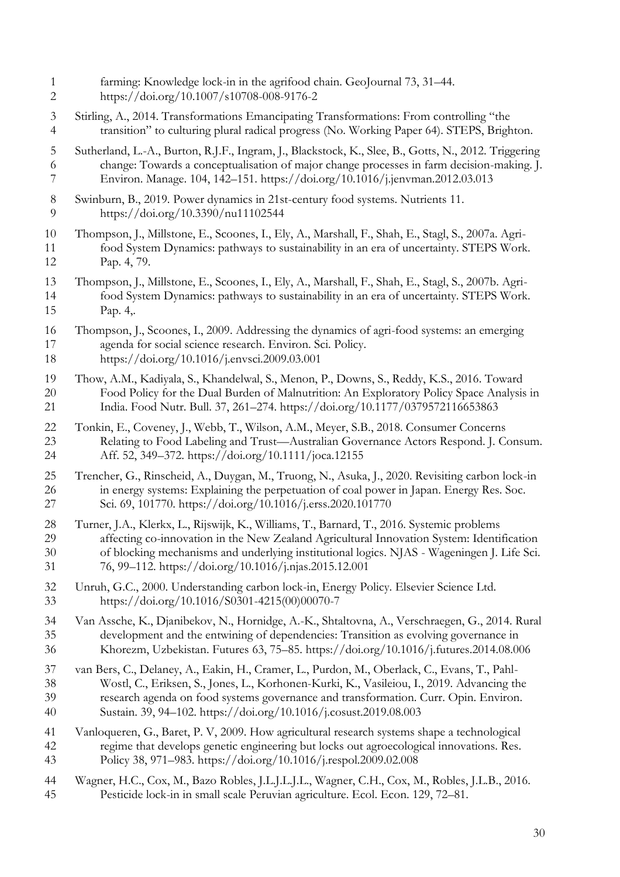farming: Knowledge lock-in in the agrifood chain. GeoJournal 73, 31–44. https://doi.org/10.1007/s10708-008-9176-2 Stirling, A., 2014. Transformations Emancipating Transformations: From controlling "the transition" to culturing plural radical progress (No. Working Paper 64). STEPS, Brighton. Sutherland, L.-A., Burton, R.J.F., Ingram, J., Blackstock, K., Slee, B., Gotts, N., 2012. Triggering change: Towards a conceptualisation of major change processes in farm decision-making. J. Environ. Manage. 104, 142–151. https://doi.org/10.1016/j.jenvman.2012.03.013 8 Swinburn, B., 2019. Power dynamics in 21st-century food systems. Nutrients 11.<br>9 https://doi.org/10.3390/nu11102544 https://doi.org/10.3390/nu11102544 Thompson, J., Millstone, E., Scoones, I., Ely, A., Marshall, F., Shah, E., Stagl, S., 2007a. Agri- food System Dynamics: pathways to sustainability in an era of uncertainty. STEPS Work. Pap. 4, 79. Thompson, J., Millstone, E., Scoones, I., Ely, A., Marshall, F., Shah, E., Stagl, S., 2007b. Agri- food System Dynamics: pathways to sustainability in an era of uncertainty. STEPS Work. Pap. 4,. Thompson, J., Scoones, I., 2009. Addressing the dynamics of agri-food systems: an emerging agenda for social science research. Environ. Sci. Policy. https://doi.org/10.1016/j.envsci.2009.03.001 Thow, A.M., Kadiyala, S., Khandelwal, S., Menon, P., Downs, S., Reddy, K.S., 2016. Toward Food Policy for the Dual Burden of Malnutrition: An Exploratory Policy Space Analysis in India. Food Nutr. Bull. 37, 261–274. https://doi.org/10.1177/0379572116653863 Tonkin, E., Coveney, J., Webb, T., Wilson, A.M., Meyer, S.B., 2018. Consumer Concerns Relating to Food Labeling and Trust—Australian Governance Actors Respond. J. Consum. Aff. 52, 349–372. https://doi.org/10.1111/joca.12155 Trencher, G., Rinscheid, A., Duygan, M., Truong, N., Asuka, J., 2020. Revisiting carbon lock-in in energy systems: Explaining the perpetuation of coal power in Japan. Energy Res. Soc. Sci. 69, 101770. https://doi.org/10.1016/j.erss.2020.101770 Turner, J.A., Klerkx, L., Rijswijk, K., Williams, T., Barnard, T., 2016. Systemic problems affecting co-innovation in the New Zealand Agricultural Innovation System: Identification of blocking mechanisms and underlying institutional logics. NJAS - Wageningen J. Life Sci. 76, 99–112. https://doi.org/10.1016/j.njas.2015.12.001 Unruh, G.C., 2000. Understanding carbon lock-in, Energy Policy. Elsevier Science Ltd. https://doi.org/10.1016/S0301-4215(00)00070-7 Van Assche, K., Djanibekov, N., Hornidge, A.-K., Shtaltovna, A., Verschraegen, G., 2014. Rural development and the entwining of dependencies: Transition as evolving governance in Khorezm, Uzbekistan. Futures 63, 75–85. https://doi.org/10.1016/j.futures.2014.08.006 van Bers, C., Delaney, A., Eakin, H., Cramer, L., Purdon, M., Oberlack, C., Evans, T., Pahl- Wostl, C., Eriksen, S., Jones, L., Korhonen-Kurki, K., Vasileiou, I., 2019. Advancing the research agenda on food systems governance and transformation. Curr. Opin. Environ. Sustain. 39, 94–102. https://doi.org/10.1016/j.cosust.2019.08.003 Vanloqueren, G., Baret, P. V, 2009. How agricultural research systems shape a technological regime that develops genetic engineering but locks out agroecological innovations. Res. Policy 38, 971–983. https://doi.org/10.1016/j.respol.2009.02.008 Wagner, H.C., Cox, M., Bazo Robles, J.L.J.L.J.L., Wagner, C.H., Cox, M., Robles, J.L.B., 2016. Pesticide lock-in in small scale Peruvian agriculture. Ecol. Econ. 129, 72–81.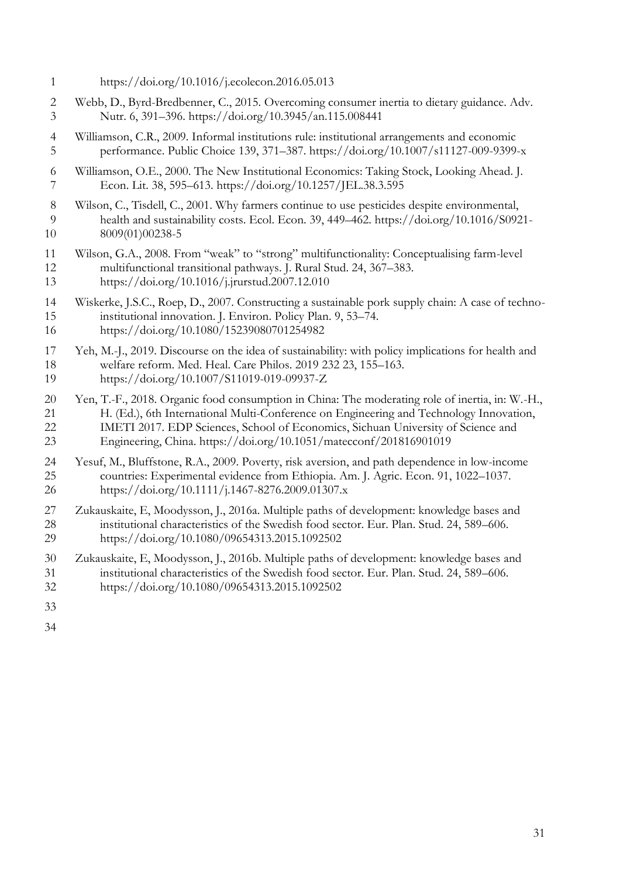- https://doi.org/10.1016/j.ecolecon.2016.05.013
- Webb, D., Byrd-Bredbenner, C., 2015. Overcoming consumer inertia to dietary guidance. Adv. Nutr. 6, 391–396. https://doi.org/10.3945/an.115.008441
- Williamson, C.R., 2009. Informal institutions rule: institutional arrangements and economic performance. Public Choice 139, 371–387. https://doi.org/10.1007/s11127-009-9399-x
- Williamson, O.E., 2000. The New Institutional Economics: Taking Stock, Looking Ahead. J. Econ. Lit. 38, 595–613. https://doi.org/10.1257/JEL.38.3.595
- Wilson, C., Tisdell, C., 2001. Why farmers continue to use pesticides despite environmental, health and sustainability costs. Ecol. Econ. 39, 449–462. https://doi.org/10.1016/S0921- 8009(01)00238-5
- Wilson, G.A., 2008. From "weak" to "strong" multifunctionality: Conceptualising farm-level multifunctional transitional pathways. J. Rural Stud. 24, 367–383. https://doi.org/10.1016/j.jrurstud.2007.12.010
- Wiskerke, J.S.C., Roep, D., 2007. Constructing a sustainable pork supply chain: A case of techno- institutional innovation. J. Environ. Policy Plan. 9, 53–74. https://doi.org/10.1080/15239080701254982
- Yeh, M.-J., 2019. Discourse on the idea of sustainability: with policy implications for health and welfare reform. Med. Heal. Care Philos. 2019 232 23, 155–163. https://doi.org/10.1007/S11019-019-09937-Z
- Yen, T.-F., 2018. Organic food consumption in China: The moderating role of inertia, in: W.-H., H. (Ed.), 6th International Multi-Conference on Engineering and Technology Innovation, IMETI 2017. EDP Sciences, School of Economics, Sichuan University of Science and Engineering, China. https://doi.org/10.1051/matecconf/201816901019
- 24 Yesuf, M., Bluffstone, R.A., 2009. Poverty, risk aversion, and path dependence in low-income<br>25 countries: Experimental evidence from Ethiopia. Am. I. Agric. Econ. 91, 1022–1037. countries: Experimental evidence from Ethiopia. Am. J. Agric. Econ. 91, 1022-1037. https://doi.org/10.1111/j.1467-8276.2009.01307.x
- Zukauskaite, E, Moodysson, J., 2016a. Multiple paths of development: knowledge bases and institutional characteristics of the Swedish food sector. Eur. Plan. Stud. 24, 589–606. https://doi.org/10.1080/09654313.2015.1092502
- Zukauskaite, E, Moodysson, J., 2016b. Multiple paths of development: knowledge bases and institutional characteristics of the Swedish food sector. Eur. Plan. Stud. 24, 589–606. https://doi.org/10.1080/09654313.2015.1092502
- 
-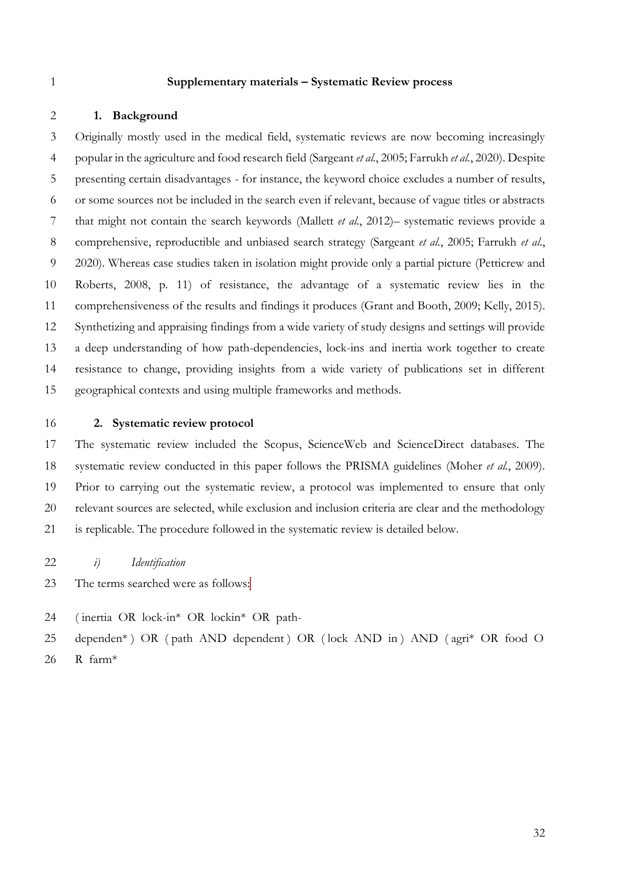#### **Supplementary materials – Systematic Review process**

#### **1. Background**

 Originally mostly used in the medical field, systematic reviews are now becoming increasingly popular in the agriculture and food research field (Sargeant *et al.*, 2005; Farrukh *et al.*, 2020). Despite presenting certain disadvantages - for instance, the keyword choice excludes a number of results, or some sources not be included in the search even if relevant, because of vague titles or abstracts that might not contain the search keywords (Mallett *et al.*, 2012)– systematic reviews provide a comprehensive, reproductible and unbiased search strategy (Sargeant *et al.*, 2005; Farrukh *et al.*, 2020). Whereas case studies taken in isolation might provide only a partial picture (Petticrew and Roberts, 2008, p. 11) of resistance, the advantage of a systematic review lies in the comprehensiveness of the results and findings it produces (Grant and Booth, 2009; Kelly, 2015). Synthetizing and appraising findings from a wide variety of study designs and settings will provide a deep understanding of how path-dependencies, lock-ins and inertia work together to create resistance to change, providing insights from a wide variety of publications set in different geographical contexts and using multiple frameworks and methods.

#### **2. Systematic review protocol**

 The systematic review included the Scopus, ScienceWeb and ScienceDirect databases. The systematic review conducted in this paper follows the PRISMA guidelines (Moher *et al.*, 2009). Prior to carrying out the systematic review, a protocol was implemented to ensure that only relevant sources are selected, while exclusion and inclusion criteria are clear and the methodology is replicable. The procedure followed in the systematic review is detailed below.

- *i) Identification*
- The terms searched were as follows:
- ( inertia OR lock-in\* OR lockin\* OR path-
- dependen\* ) OR ( path AND dependent ) OR ( lock AND in ) AND ( agri\* OR food O
- R farm\*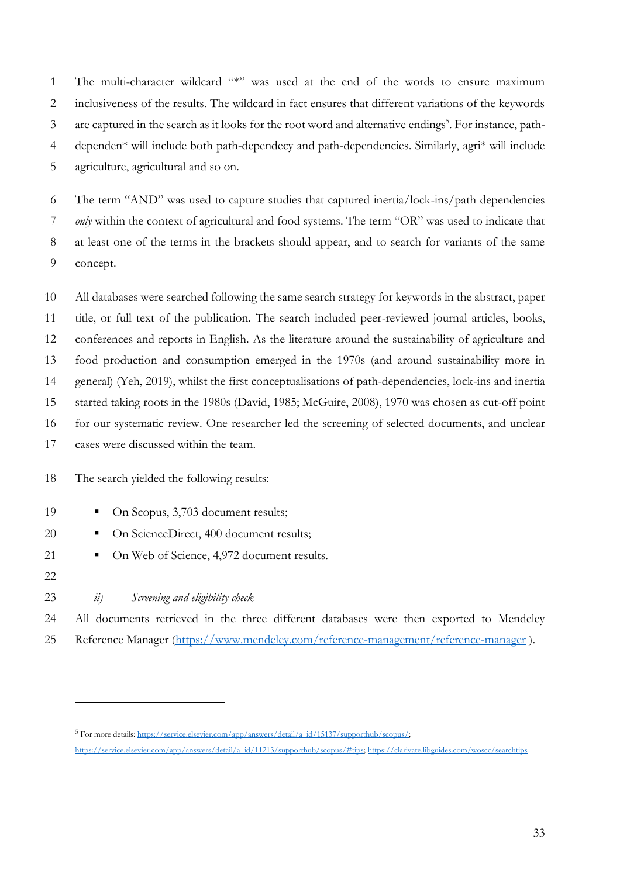The multi-character wildcard "\*" was used at the end of the words to ensure maximum inclusiveness of the results. The wildcard in fact ensures that different variations of the keywords 3 are captured in the search as it looks for the root word and alternative endings<sup>5</sup>. For instance, path- dependen\* will include both path-dependecy and path-dependencies. Similarly, agri\* will include agriculture, agricultural and so on.

 The term "AND" was used to capture studies that captured inertia/lock-ins/path dependencies *only* within the context of agricultural and food systems. The term "OR" was used to indicate that at least one of the terms in the brackets should appear, and to search for variants of the same concept.

 All databases were searched following the same search strategy for keywords in the abstract, paper title, or full text of the publication. The search included peer-reviewed journal articles, books, conferences and reports in English. As the literature around the sustainability of agriculture and food production and consumption emerged in the 1970s (and around sustainability more in general) (Yeh, 2019), whilst the first conceptualisations of path-dependencies, lock-ins and inertia started taking roots in the 1980s (David, 1985; McGuire, 2008), 1970 was chosen as cut-off point for our systematic review. One researcher led the screening of selected documents, and unclear cases were discussed within the team.

#### The search yielded the following results:

- 19 On Scopus, 3,703 document results;
- 20 On ScienceDirect, 400 document results;
- 21 On Web of Science, 4,972 document results.
- 
- *ii) Screening and eligibility check*

 All documents retrieved in the three different databases were then exported to Mendeley 25 Reference Manager [\(https://www.mendeley.com/reference-management/reference-manager](https://www.mendeley.com/reference-management/reference-manager)).

<sup>&</sup>lt;sup>5</sup> For more details: https://service.elsevier.com/app/answers/detail/a\_id/15137/supporthub/scopus/;

[https://service.elsevier.com/app/answers/detail/a\\_id/11213/supporthub/scopus/#tips;](https://service.elsevier.com/app/answers/detail/a_id/11213/supporthub/scopus/#tips)<https://clarivate.libguides.com/woscc/searchtips>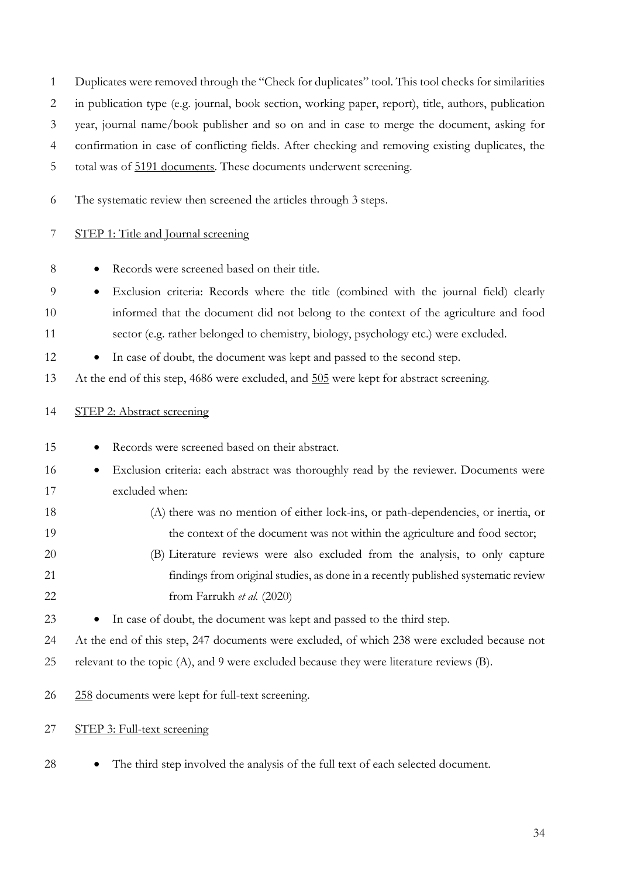| $\mathbf{1}$   | Duplicates were removed through the "Check for duplicates" tool. This tool checks for similarities   |
|----------------|------------------------------------------------------------------------------------------------------|
| 2              | in publication type (e.g. journal, book section, working paper, report), title, authors, publication |
| 3              | year, journal name/book publisher and so on and in case to merge the document, asking for            |
| $\overline{4}$ | confirmation in case of conflicting fields. After checking and removing existing duplicates, the     |
| 5              | total was of 5191 documents. These documents underwent screening.                                    |
| 6              | The systematic review then screened the articles through 3 steps.                                    |
| 7              | STEP 1: Title and Journal screening                                                                  |
| $8\,$          | Records were screened based on their title.                                                          |
| 9              | Exclusion criteria: Records where the title (combined with the journal field) clearly<br>$\bullet$   |
| 10             | informed that the document did not belong to the context of the agriculture and food                 |
| 11             | sector (e.g. rather belonged to chemistry, biology, psychology etc.) were excluded.                  |
| 12             | In case of doubt, the document was kept and passed to the second step.                               |
| 13             | At the end of this step, 4686 were excluded, and 505 were kept for abstract screening.               |
| 14             | STEP 2: Abstract screening                                                                           |
| 15             | Records were screened based on their abstract.                                                       |
| 16             | Exclusion criteria: each abstract was thoroughly read by the reviewer. Documents were<br>$\bullet$   |
| 17             | excluded when:                                                                                       |
| 18             | (A) there was no mention of either lock-ins, or path-dependencies, or inertia, or                    |
| 19             | the context of the document was not within the agriculture and food sector;                          |
| 20             | (B) Literature reviews were also excluded from the analysis, to only capture                         |
| 21             | findings from original studies, as done in a recently published systematic review                    |
| 22             | from Farrukh et al. (2020)                                                                           |
| 23             | In case of doubt, the document was kept and passed to the third step.                                |
| 24             | At the end of this step, 247 documents were excluded, of which 238 were excluded because not         |
| 25             | relevant to the topic (A), and 9 were excluded because they were literature reviews (B).             |
| 26             | 258 documents were kept for full-text screening.                                                     |
| 27             | STEP 3: Full-text screening                                                                          |

• The third step involved the analysis of the full text of each selected document.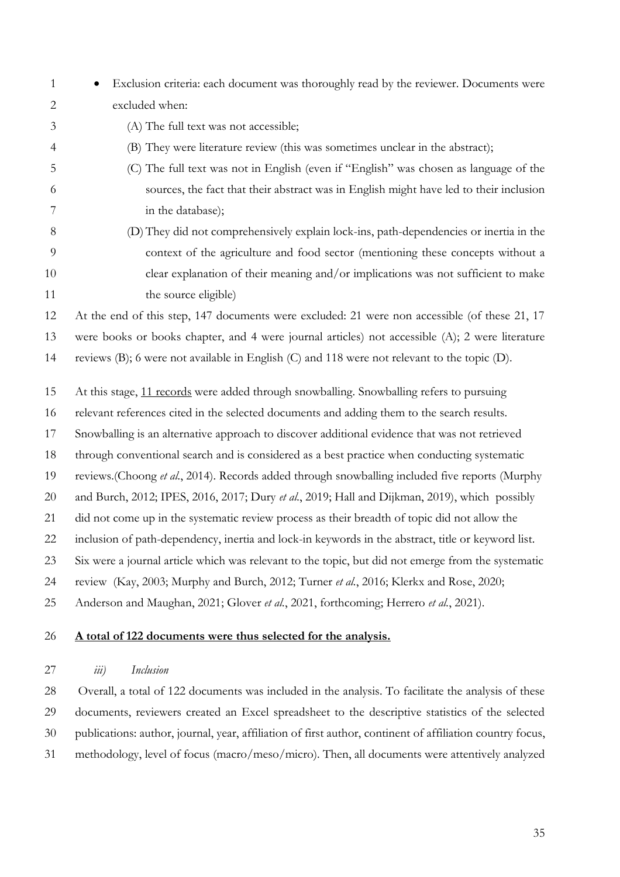- Exclusion criteria: each document was thoroughly read by the reviewer. Documents were excluded when:
- (A) The full text was not accessible;
- (B) They were literature review (this was sometimes unclear in the abstract);
- (C) The full text was not in English (even if "English" was chosen as language of the sources, the fact that their abstract was in English might have led to their inclusion in the database);
- (D)They did not comprehensively explain lock-ins, path-dependencies or inertia in the context of the agriculture and food sector (mentioning these concepts without a clear explanation of their meaning and/or implications was not sufficient to make 11 the source eligible)

At the end of this step, 147 documents were excluded: 21 were non accessible (of these 21, 17

were books or books chapter, and 4 were journal articles) not accessible (A); 2 were literature

reviews (B); 6 were not available in English (C) and 118 were not relevant to the topic (D).

- At this stage, 11 records were added through snowballing. Snowballing refers to pursuing
- relevant references cited in the selected documents and adding them to the search results.
- Snowballing is an alternative approach to discover additional evidence that was not retrieved
- through conventional search and is considered as a best practice when conducting systematic
- reviews.(Choong *et al.*, 2014). Records added through snowballing included five reports (Murphy
- and Burch, 2012; IPES, 2016, 2017; Dury *et al.*, 2019; Hall and Dijkman, 2019), which possibly
- did not come up in the systematic review process as their breadth of topic did not allow the
- inclusion of path-dependency, inertia and lock-in keywords in the abstract, title or keyword list.
- Six were a journal article which was relevant to the topic, but did not emerge from the systematic
- review (Kay, 2003; Murphy and Burch, 2012; Turner *et al.*, 2016; Klerkx and Rose, 2020;
- Anderson and Maughan, 2021; Glover *et al.*, 2021, forthcoming; Herrero *et al.*, 2021).

#### **A total of 122 documents were thus selected for the analysis.**

#### *iii) Inclusion*

 Overall, a total of 122 documents was included in the analysis. To facilitate the analysis of these documents, reviewers created an Excel spreadsheet to the descriptive statistics of the selected publications: author, journal, year, affiliation of first author, continent of affiliation country focus, methodology, level of focus (macro/meso/micro). Then, all documents were attentively analyzed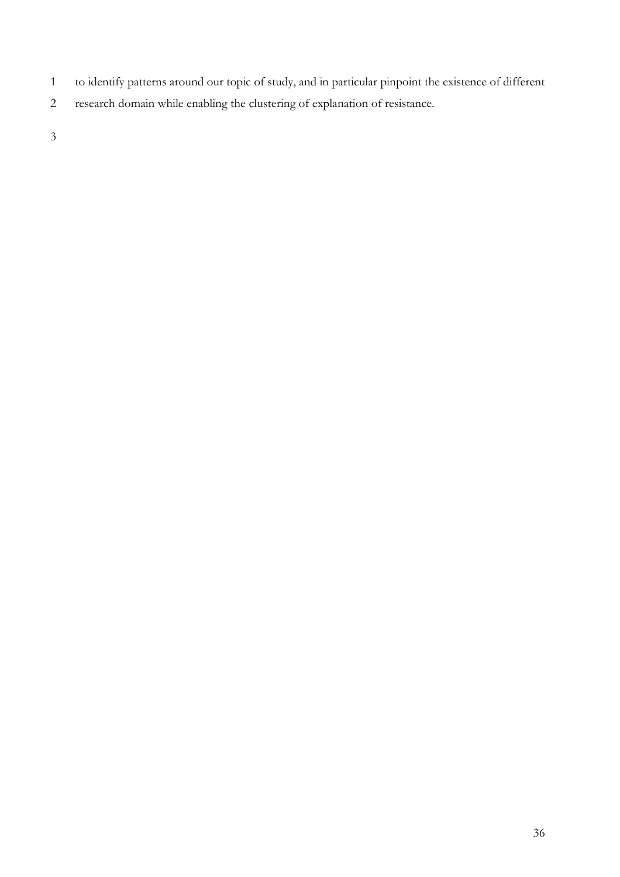- to identify patterns around our topic of study, and in particular pinpoint the existence of different
- research domain while enabling the clustering of explanation of resistance.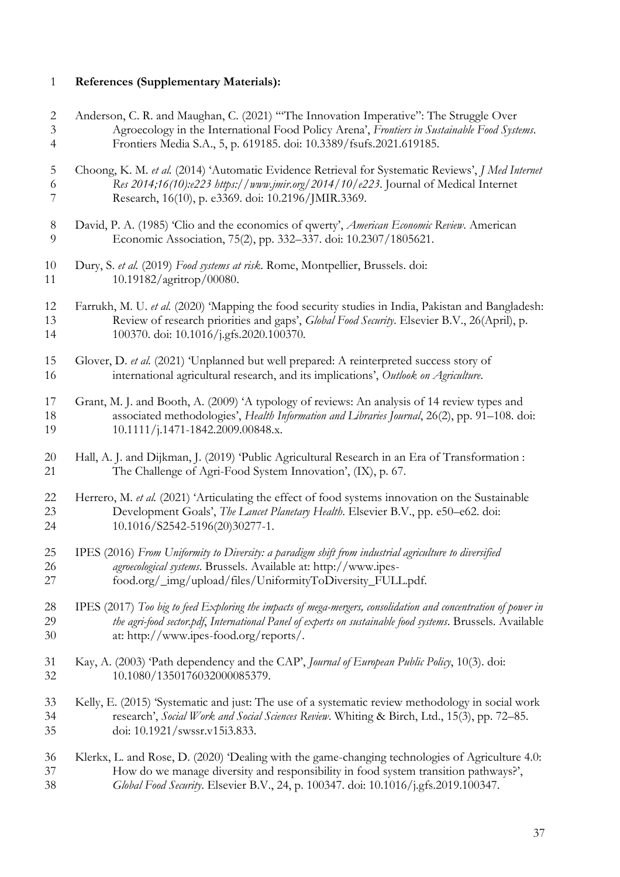# **References (Supplementary Materials):**

| $\overline{c}$ | Anderson, C. R. and Maughan, C. (2021) "The Innovation Imperative": The Struggle Over                          |
|----------------|----------------------------------------------------------------------------------------------------------------|
| 3              | Agroecology in the International Food Policy Arena', Frontiers in Sustainable Food Systems.                    |
| $\overline{4}$ | Frontiers Media S.A., 5, p. 619185. doi: 10.3389/fsufs.2021.619185.                                            |
| 5              | Choong, K. M. et al. (2014) 'Automatic Evidence Retrieval for Systematic Reviews', J Med Internet              |
| 6              | Res 2014;16(10):e223 https://www.jmir.org/2014/10/e223. Journal of Medical Internet                            |
| 7              | Research, 16(10), p. e3369. doi: 10.2196/JMIR.3369.                                                            |
| 8              | David, P. A. (1985) 'Clio and the economics of qwerty', American Economic Review. American                     |
| 9              | Economic Association, 75(2), pp. 332-337. doi: 10.2307/1805621.                                                |
| 10             | Dury, S. et al. (2019) Food systems at risk. Rome, Montpellier, Brussels. doi:                                 |
| 11             | 10.19182/agritrop/00080.                                                                                       |
| 12             | Farrukh, M. U. et al. (2020) 'Mapping the food security studies in India, Pakistan and Bangladesh:             |
| 13             | Review of research priorities and gaps', Global Food Security. Elsevier B.V., 26(April), p.                    |
| 14             | 100370. doi: 10.1016/j.gfs.2020.100370.                                                                        |
| 15             | Glover, D. et al. (2021) 'Unplanned but well prepared: A reinterpreted success story of                        |
| 16             | international agricultural research, and its implications', Outlook on Agriculture.                            |
| 17             | Grant, M. J. and Booth, A. (2009) 'A typology of reviews: An analysis of 14 review types and                   |
| 18             | associated methodologies', Health Information and Libraries Journal, 26(2), pp. 91-108. doi:                   |
| 19             | 10.1111/j.1471-1842.2009.00848.x.                                                                              |
| 20             | Hall, A. J. and Dijkman, J. (2019) 'Public Agricultural Research in an Era of Transformation :                 |
| 21             | The Challenge of Agri-Food System Innovation', (IX), p. 67.                                                    |
| 22             | Herrero, M. et al. (2021) 'Articulating the effect of food systems innovation on the Sustainable               |
| 23             | Development Goals', The Lancet Planetary Health. Elsevier B.V., pp. e50-e62. doi:                              |
| 24             | 10.1016/S2542-5196(20)30277-1.                                                                                 |
| 25             | IPES (2016) From Uniformity to Diversity: a paradigm shift from industrial agriculture to diversified          |
| 26             | agroecological systems. Brussels. Available at: http://www.ipes-                                               |
| 27             | food.org/_img/upload/files/UniformityToDiversity_FULL.pdf.                                                     |
| 28             | IPES (2017) Too big to feed Exploring the impacts of mega-mergers, consolidation and concentration of power in |
| 29             | the agri-food sector.pdf, International Panel of experts on sustainable food systems. Brussels. Available      |
| 30             | at: http://www.ipes-food.org/reports/.                                                                         |
| 31             | Kay, A. (2003) 'Path dependency and the CAP', Journal of European Public Policy, 10(3). doi:                   |
| 32             | 10.1080/1350176032000085379.                                                                                   |
| 33             | Kelly, E. (2015) 'Systematic and just: The use of a systematic review methodology in social work               |
| 34             | research', Social Work and Social Sciences Review. Whiting & Birch, Ltd., 15(3), pp. 72-85.                    |
| 35             | doi: 10.1921/swssr.v15i3.833.                                                                                  |
| 36             | Klerkx, L. and Rose, D. (2020) 'Dealing with the game-changing technologies of Agriculture 4.0:                |
| 37             | How do we manage diversity and responsibility in food system transition pathways?',                            |
| 38             | Global Food Security. Elsevier B.V., 24, p. 100347. doi: 10.1016/j.gfs.2019.100347.                            |